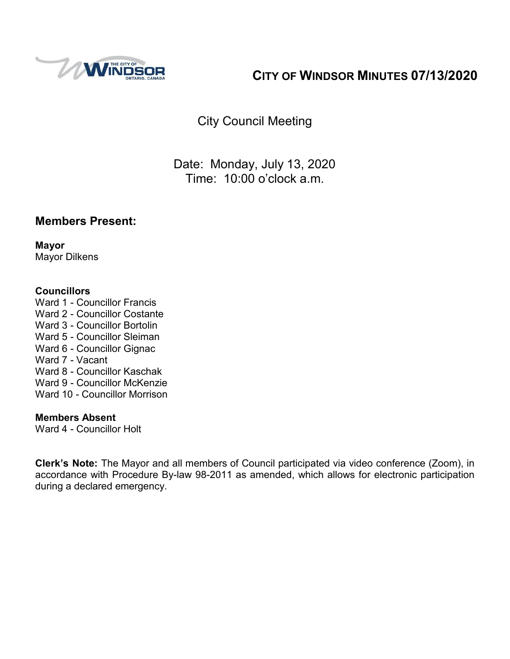

# **CITY OF WINDSOR MINUTES 07/13/2020**

City Council Meeting

Date: Monday, July 13, 2020 Time: 10:00 o'clock a.m.

### **Members Present:**

**Mayor** Mayor Dilkens

#### **Councillors**

- Ward 1 Councillor Francis
- Ward 2 Councillor Costante
- Ward 3 Councillor Bortolin
- Ward 5 Councillor Sleiman
- Ward 6 Councillor Gignac
- Ward 7 Vacant
- Ward 8 Councillor Kaschak
- Ward 9 Councillor McKenzie
- Ward 10 Councillor Morrison

#### **Members Absent**

Ward 4 - Councillor Holt

**Clerk's Note:** The Mayor and all members of Council participated via video conference (Zoom), in accordance with Procedure By-law 98-2011 as amended, which allows for electronic participation during a declared emergency.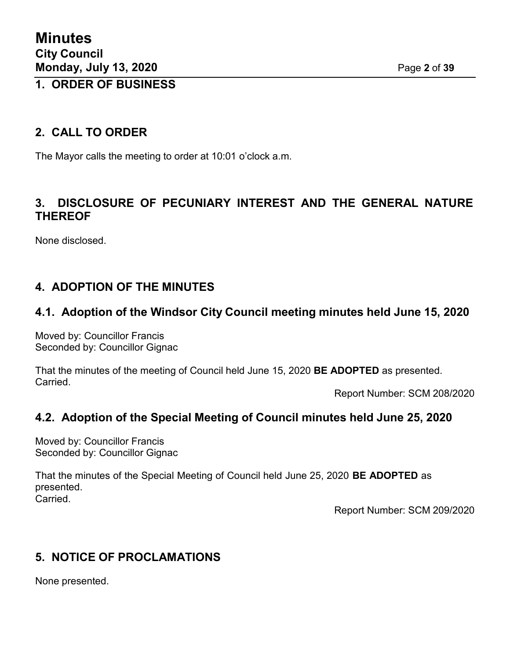## **1. ORDER OF BUSINESS**

### **2. CALL TO ORDER**

The Mayor calls the meeting to order at 10:01 o'clock a.m.

## **3. DISCLOSURE OF PECUNIARY INTEREST AND THE GENERAL NATURE THEREOF**

None disclosed.

## **4. ADOPTION OF THE MINUTES**

### **4.1. Adoption of the Windsor City Council meeting minutes held June 15, 2020**

Moved by: Councillor Francis Seconded by: Councillor Gignac

That the minutes of the meeting of Council held June 15, 2020 **BE ADOPTED** as presented. Carried.

Report Number: SCM 208/2020

#### **4.2. Adoption of the Special Meeting of Council minutes held June 25, 2020**

Moved by: Councillor Francis Seconded by: Councillor Gignac

That the minutes of the Special Meeting of Council held June 25, 2020 **BE ADOPTED** as presented. Carried.

Report Number: SCM 209/2020

### **5. NOTICE OF PROCLAMATIONS**

None presented.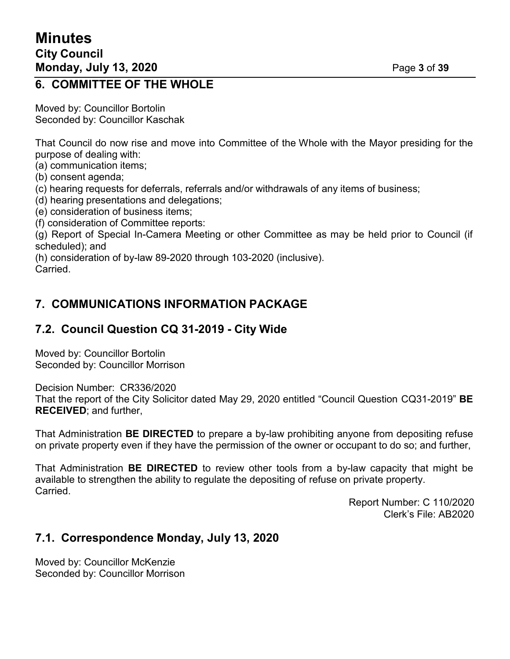## **6. COMMITTEE OF THE WHOLE**

Moved by: Councillor Bortolin Seconded by: Councillor Kaschak

That Council do now rise and move into Committee of the Whole with the Mayor presiding for the purpose of dealing with:

(a) communication items;

- (b) consent agenda;
- (c) hearing requests for deferrals, referrals and/or withdrawals of any items of business;
- (d) hearing presentations and delegations;
- (e) consideration of business items;
- (f) consideration of Committee reports:

(g) Report of Special In-Camera Meeting or other Committee as may be held prior to Council (if scheduled); and

(h) consideration of by-law 89-2020 through 103-2020 (inclusive). Carried.

## **7. COMMUNICATIONS INFORMATION PACKAGE**

# **7.2. Council Question CQ 31-2019 - City Wide**

Moved by: Councillor Bortolin Seconded by: Councillor Morrison

Decision Number: CR336/2020

That the report of the City Solicitor dated May 29, 2020 entitled "Council Question CQ31-2019" **BE RECEIVED**; and further,

That Administration **BE DIRECTED** to prepare a by-law prohibiting anyone from depositing refuse on private property even if they have the permission of the owner or occupant to do so; and further,

That Administration **BE DIRECTED** to review other tools from a by-law capacity that might be available to strengthen the ability to regulate the depositing of refuse on private property. Carried.

> Report Number: C 110/2020 Clerk's File: AB2020

## **7.1. Correspondence Monday, July 13, 2020**

Moved by: Councillor McKenzie Seconded by: Councillor Morrison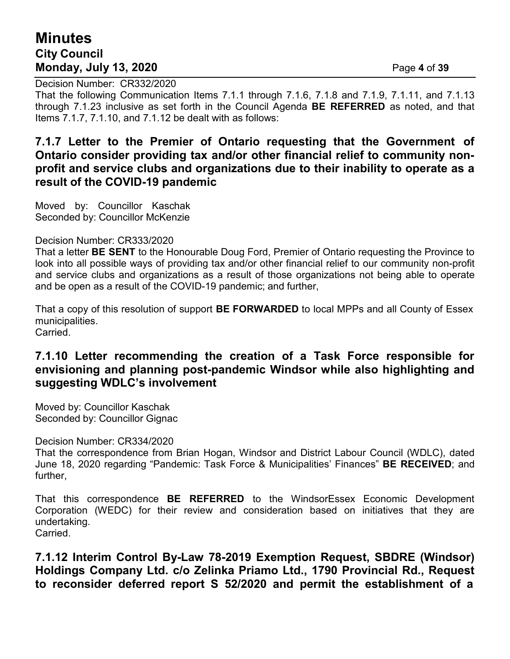## **Minutes City Council Monday, July 13, 2020** Page **4** of **39**

Decision Number: CR332/2020

That the following Communication Items 7.1.1 through 7.1.6, 7.1.8 and 7.1.9, 7.1.11, and 7.1.13 through 7.1.23 inclusive as set forth in the Council Agenda **BE REFERRED** as noted, and that Items 7.1.7, 7.1.10, and 7.1.12 be dealt with as follows:

### **7.1.7 Letter to the Premier of Ontario requesting that the Government of Ontario consider providing tax and/or other financial relief to community nonprofit and service clubs and organizations due to their inability to operate as a result of the COVID-19 pandemic**

Moved by: Councillor Kaschak Seconded by: Councillor McKenzie

#### Decision Number: CR333/2020

That a letter **BE SENT** to the Honourable Doug Ford, Premier of Ontario requesting the Province to look into all possible ways of providing tax and/or other financial relief to our community non-profit and service clubs and organizations as a result of those organizations not being able to operate and be open as a result of the COVID-19 pandemic; and further,

That a copy of this resolution of support **BE FORWARDED** to local MPPs and all County of Essex municipalities. Carried.

### **7.1.10 Letter recommending the creation of a Task Force responsible for envisioning and planning post-pandemic Windsor while also highlighting and suggesting WDLC's involvement**

Moved by: Councillor Kaschak Seconded by: Councillor Gignac

Decision Number: CR334/2020

That the correspondence from Brian Hogan, Windsor and District Labour Council (WDLC), dated June 18, 2020 regarding "Pandemic: Task Force & Municipalities' Finances" **BE RECEIVED**; and further,

That this correspondence **BE REFERRED** to the WindsorEssex Economic Development Corporation (WEDC) for their review and consideration based on initiatives that they are undertaking.

Carried.

**7.1.12 Interim Control By-Law 78-2019 Exemption Request, SBDRE (Windsor) Holdings Company Ltd. c/o Zelinka Priamo Ltd., 1790 Provincial Rd., Request to reconsider deferred report S 52/2020 and permit the establishment of a**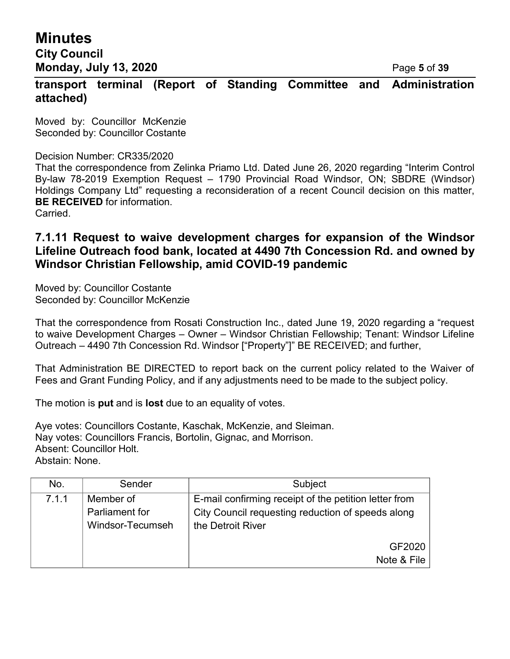**Minutes City Council Monday, July 13, 2020** Page **5** of **39**

**transport terminal (Report of Standing Committee and Administration attached)**

Moved by: Councillor McKenzie Seconded by: Councillor Costante

#### Decision Number: CR335/2020

That the correspondence from Zelinka Priamo Ltd. Dated June 26, 2020 regarding "Interim Control By-law 78-2019 Exemption Request – 1790 Provincial Road Windsor, ON; SBDRE (Windsor) Holdings Company Ltd" requesting a reconsideration of a recent Council decision on this matter, **BE RECEIVED** for information. Carried.

**7.1.11 Request to waive development charges for expansion of the Windsor Lifeline Outreach food bank, located at 4490 7th Concession Rd. and owned by Windsor Christian Fellowship, amid COVID-19 pandemic**

Moved by: Councillor Costante Seconded by: Councillor McKenzie

That the correspondence from Rosati Construction Inc., dated June 19, 2020 regarding a "request to waive Development Charges – Owner – Windsor Christian Fellowship; Tenant: Windsor Lifeline Outreach – 4490 7th Concession Rd. Windsor ["Property"]" BE RECEIVED; and further,

That Administration BE DIRECTED to report back on the current policy related to the Waiver of Fees and Grant Funding Policy, and if any adjustments need to be made to the subject policy.

The motion is **put** and is **lost** due to an equality of votes.

Aye votes: Councillors Costante, Kaschak, McKenzie, and Sleiman. Nay votes: Councillors Francis, Bortolin, Gignac, and Morrison. Absent: Councillor Holt. Abstain: None.

| No.   | Sender           | Subject                                               |  |
|-------|------------------|-------------------------------------------------------|--|
| 7.1.1 | Member of        | E-mail confirming receipt of the petition letter from |  |
|       | Parliament for   | City Council requesting reduction of speeds along     |  |
|       | Windsor-Tecumseh | the Detroit River                                     |  |
|       |                  | GF2020                                                |  |
|       |                  | Note & File                                           |  |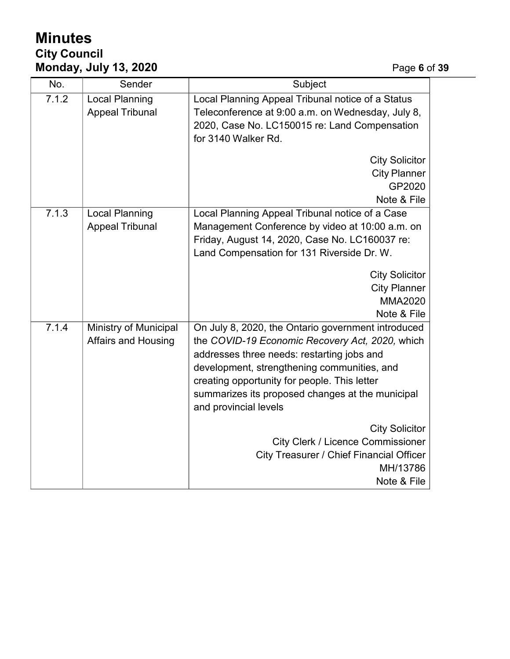# **Minutes City Council Monday, July 13, 2020** Page **6** of **39**

| No.   | Sender                                              | Subject                                                                                                                                                                                                                                                                                                                         |
|-------|-----------------------------------------------------|---------------------------------------------------------------------------------------------------------------------------------------------------------------------------------------------------------------------------------------------------------------------------------------------------------------------------------|
| 7.1.2 | <b>Local Planning</b><br><b>Appeal Tribunal</b>     | Local Planning Appeal Tribunal notice of a Status<br>Teleconference at 9:00 a.m. on Wednesday, July 8,<br>2020, Case No. LC150015 re: Land Compensation<br>for 3140 Walker Rd.                                                                                                                                                  |
|       |                                                     | <b>City Solicitor</b><br><b>City Planner</b><br>GP2020<br>Note & File                                                                                                                                                                                                                                                           |
| 7.1.3 | <b>Local Planning</b><br><b>Appeal Tribunal</b>     | Local Planning Appeal Tribunal notice of a Case<br>Management Conference by video at 10:00 a.m. on<br>Friday, August 14, 2020, Case No. LC160037 re:<br>Land Compensation for 131 Riverside Dr. W.<br><b>City Solicitor</b>                                                                                                     |
|       |                                                     | <b>City Planner</b><br><b>MMA2020</b><br>Note & File                                                                                                                                                                                                                                                                            |
| 7.1.4 | Ministry of Municipal<br><b>Affairs and Housing</b> | On July 8, 2020, the Ontario government introduced<br>the COVID-19 Economic Recovery Act, 2020, which<br>addresses three needs: restarting jobs and<br>development, strengthening communities, and<br>creating opportunity for people. This letter<br>summarizes its proposed changes at the municipal<br>and provincial levels |
|       |                                                     | <b>City Solicitor</b><br>City Clerk / Licence Commissioner<br><b>City Treasurer / Chief Financial Officer</b><br>MH/13786<br>Note & File                                                                                                                                                                                        |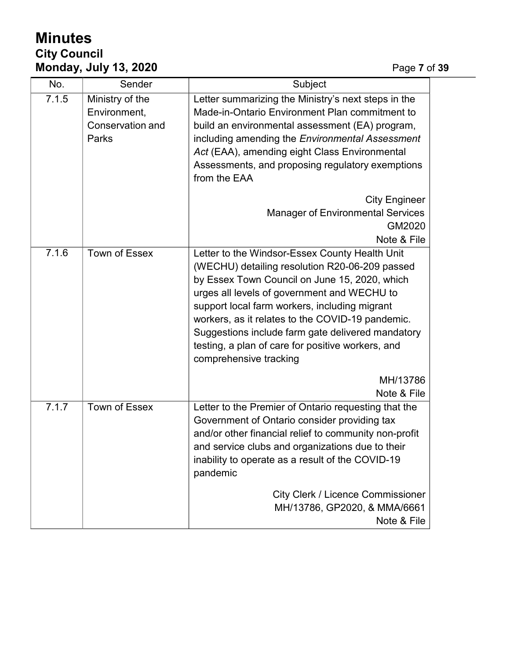# **Minutes City Council Monday, July 13, 2020** Page **7** of **39**

| No.   | Sender                                                              | Subject                                                                                                                                                                                                                                                                                                                                                                                                                                   |  |
|-------|---------------------------------------------------------------------|-------------------------------------------------------------------------------------------------------------------------------------------------------------------------------------------------------------------------------------------------------------------------------------------------------------------------------------------------------------------------------------------------------------------------------------------|--|
| 7.1.5 | Ministry of the<br>Environment,<br><b>Conservation and</b><br>Parks | Letter summarizing the Ministry's next steps in the<br>Made-in-Ontario Environment Plan commitment to<br>build an environmental assessment (EA) program,<br>including amending the Environmental Assessment<br>Act (EAA), amending eight Class Environmental<br>Assessments, and proposing regulatory exemptions<br>from the EAA<br><b>City Engineer</b><br><b>Manager of Environmental Services</b>                                      |  |
|       |                                                                     | GM2020<br>Note & File                                                                                                                                                                                                                                                                                                                                                                                                                     |  |
| 7.1.6 | Town of Essex                                                       | Letter to the Windsor-Essex County Health Unit<br>(WECHU) detailing resolution R20-06-209 passed<br>by Essex Town Council on June 15, 2020, which<br>urges all levels of government and WECHU to<br>support local farm workers, including migrant<br>workers, as it relates to the COVID-19 pandemic.<br>Suggestions include farm gate delivered mandatory<br>testing, a plan of care for positive workers, and<br>comprehensive tracking |  |
|       |                                                                     | MH/13786<br>Note & File                                                                                                                                                                                                                                                                                                                                                                                                                   |  |
| 7.1.7 | <b>Town of Essex</b>                                                | Letter to the Premier of Ontario requesting that the<br>Government of Ontario consider providing tax<br>and/or other financial relief to community non-profit<br>and service clubs and organizations due to their<br>inability to operate as a result of the COVID-19<br>pandemic                                                                                                                                                         |  |
|       |                                                                     | <b>City Clerk / Licence Commissioner</b><br>MH/13786, GP2020, & MMA/6661<br>Note & File                                                                                                                                                                                                                                                                                                                                                   |  |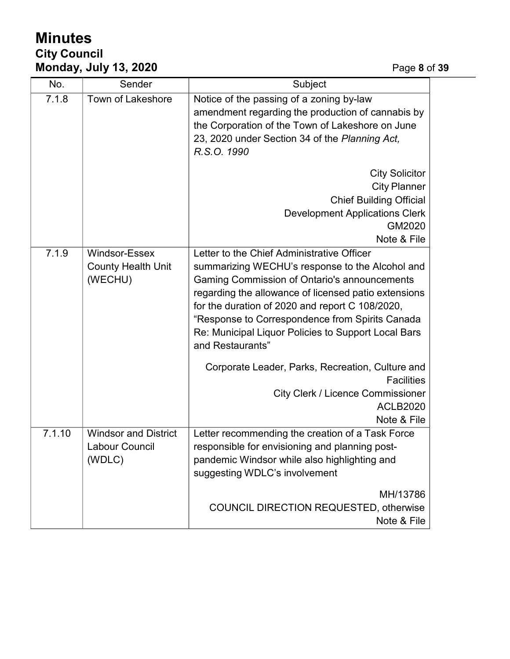# **Minutes City Council Monday, July 13, 2020** Page **8** of **39**

| No.    | Sender                                                  | Subject                                                                                                                                                                                                                                                                                                                                                                                |  |
|--------|---------------------------------------------------------|----------------------------------------------------------------------------------------------------------------------------------------------------------------------------------------------------------------------------------------------------------------------------------------------------------------------------------------------------------------------------------------|--|
| 7.1.8  | Town of Lakeshore                                       | Notice of the passing of a zoning by-law<br>amendment regarding the production of cannabis by<br>the Corporation of the Town of Lakeshore on June<br>23, 2020 under Section 34 of the Planning Act,<br>R.S.O. 1990                                                                                                                                                                     |  |
|        |                                                         | <b>City Solicitor</b><br><b>City Planner</b><br><b>Chief Building Official</b><br><b>Development Applications Clerk</b><br>GM2020<br>Note & File                                                                                                                                                                                                                                       |  |
| 7.1.9  | Windsor-Essex<br><b>County Health Unit</b><br>(WECHU)   | Letter to the Chief Administrative Officer<br>summarizing WECHU's response to the Alcohol and<br>Gaming Commission of Ontario's announcements<br>regarding the allowance of licensed patio extensions<br>for the duration of 2020 and report C 108/2020,<br>"Response to Correspondence from Spirits Canada<br>Re: Municipal Liquor Policies to Support Local Bars<br>and Restaurants" |  |
|        |                                                         | Corporate Leader, Parks, Recreation, Culture and<br><b>Facilities</b><br><b>City Clerk / Licence Commissioner</b><br><b>ACLB2020</b><br>Note & File                                                                                                                                                                                                                                    |  |
| 7.1.10 | <b>Windsor and District</b><br>Labour Council<br>(WDLC) | Letter recommending the creation of a Task Force<br>responsible for envisioning and planning post-<br>pandemic Windsor while also highlighting and<br>suggesting WDLC's involvement<br>MH/13786                                                                                                                                                                                        |  |
|        |                                                         | <b>COUNCIL DIRECTION REQUESTED, otherwise</b><br>Note & File                                                                                                                                                                                                                                                                                                                           |  |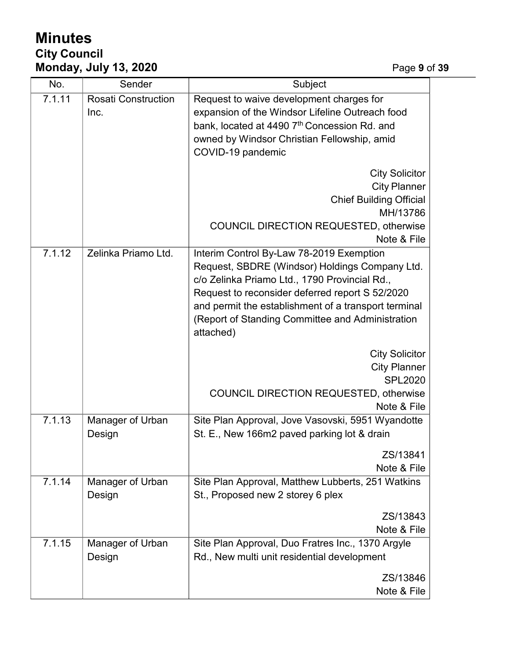# **Minutes City Council Monday, July 13, 2020** Page **9** of **39**

| No.    | Sender                             | Subject                                                                                                                                                                                                                                                                                                                 |
|--------|------------------------------------|-------------------------------------------------------------------------------------------------------------------------------------------------------------------------------------------------------------------------------------------------------------------------------------------------------------------------|
| 7.1.11 | <b>Rosati Construction</b><br>Inc. | Request to waive development charges for<br>expansion of the Windsor Lifeline Outreach food<br>bank, located at 4490 7th Concession Rd. and<br>owned by Windsor Christian Fellowship, amid<br>COVID-19 pandemic                                                                                                         |
|        |                                    | <b>City Solicitor</b><br><b>City Planner</b><br><b>Chief Building Official</b><br>MH/13786<br>COUNCIL DIRECTION REQUESTED, otherwise<br>Note & File                                                                                                                                                                     |
| 7.1.12 | Zelinka Priamo Ltd.                | Interim Control By-Law 78-2019 Exemption<br>Request, SBDRE (Windsor) Holdings Company Ltd.<br>c/o Zelinka Priamo Ltd., 1790 Provincial Rd.,<br>Request to reconsider deferred report S 52/2020<br>and permit the establishment of a transport terminal<br>(Report of Standing Committee and Administration<br>attached) |
|        |                                    | <b>City Solicitor</b><br><b>City Planner</b><br><b>SPL2020</b><br>COUNCIL DIRECTION REQUESTED, otherwise<br>Note & File                                                                                                                                                                                                 |
| 7.1.13 | Manager of Urban<br>Design         | Site Plan Approval, Jove Vasovski, 5951 Wyandotte<br>St. E., New 166m2 paved parking lot & drain                                                                                                                                                                                                                        |
|        |                                    | ZS/13841<br>Note & File                                                                                                                                                                                                                                                                                                 |
| 7.1.14 | Manager of Urban<br>Design         | Site Plan Approval, Matthew Lubberts, 251 Watkins<br>St., Proposed new 2 storey 6 plex                                                                                                                                                                                                                                  |
|        |                                    | ZS/13843<br>Note & File                                                                                                                                                                                                                                                                                                 |
| 7.1.15 | Manager of Urban<br>Design         | Site Plan Approval, Duo Fratres Inc., 1370 Argyle<br>Rd., New multi unit residential development                                                                                                                                                                                                                        |
|        |                                    | ZS/13846<br>Note & File                                                                                                                                                                                                                                                                                                 |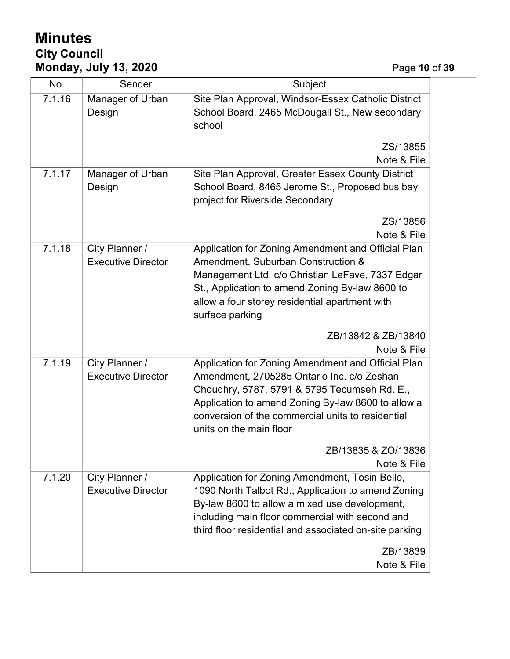# **Minutes City Council Monday, July 13, 2020** Page **10** of **39**

| No.    | Sender                     | Subject                                                                                                          |  |
|--------|----------------------------|------------------------------------------------------------------------------------------------------------------|--|
| 7.1.16 | Manager of Urban<br>Design | Site Plan Approval, Windsor-Essex Catholic District<br>School Board, 2465 McDougall St., New secondary<br>school |  |
|        |                            | ZS/13855                                                                                                         |  |
|        |                            | Note & File                                                                                                      |  |
| 7.1.17 | Manager of Urban           | Site Plan Approval, Greater Essex County District                                                                |  |
|        | Design                     | School Board, 8465 Jerome St., Proposed bus bay<br>project for Riverside Secondary                               |  |
|        |                            | ZS/13856<br>Note & File                                                                                          |  |
| 7.1.18 | City Planner /             | Application for Zoning Amendment and Official Plan                                                               |  |
|        | <b>Executive Director</b>  | Amendment, Suburban Construction &                                                                               |  |
|        |                            | Management Ltd. c/o Christian LeFave, 7337 Edgar                                                                 |  |
|        |                            | St., Application to amend Zoning By-law 8600 to                                                                  |  |
|        |                            | allow a four storey residential apartment with                                                                   |  |
|        |                            | surface parking                                                                                                  |  |
|        |                            | ZB/13842 & ZB/13840<br>Note & File                                                                               |  |
| 7.1.19 | City Planner /             | Application for Zoning Amendment and Official Plan                                                               |  |
|        | <b>Executive Director</b>  | Amendment, 2705285 Ontario Inc. c/o Zeshan                                                                       |  |
|        |                            | Choudhry, 5787, 5791 & 5795 Tecumseh Rd. E.,                                                                     |  |
|        |                            | Application to amend Zoning By-law 8600 to allow a                                                               |  |
|        |                            | conversion of the commercial units to residential                                                                |  |
|        |                            | units on the main floor                                                                                          |  |
|        |                            | ZB/13835 & ZO/13836<br>Note & File                                                                               |  |
| 7.1.20 | City Planner /             | Application for Zoning Amendment, Tosin Bello,                                                                   |  |
|        | <b>Executive Director</b>  | 1090 North Talbot Rd., Application to amend Zoning                                                               |  |
|        |                            | By-law 8600 to allow a mixed use development,                                                                    |  |
|        |                            | including main floor commercial with second and                                                                  |  |
|        |                            | third floor residential and associated on-site parking                                                           |  |
|        |                            | ZB/13839                                                                                                         |  |
|        |                            | Note & File                                                                                                      |  |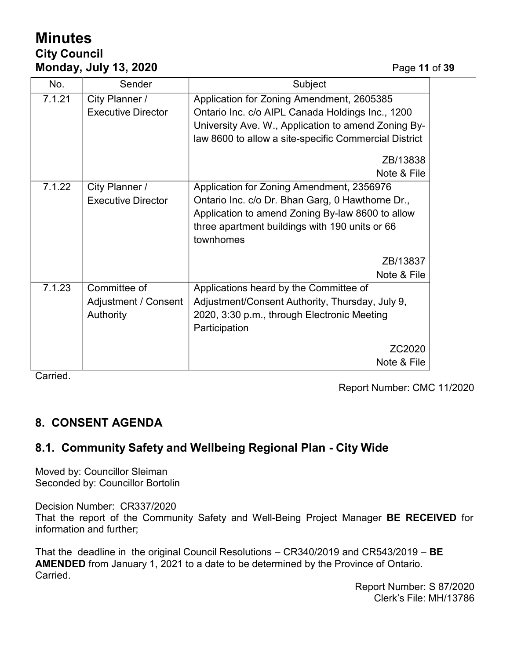# **Minutes City Council Monday, July 13, 2020** Page **11** of **39**

| No.    | Sender                                            | Subject                                                                                                                                                                                                          |  |
|--------|---------------------------------------------------|------------------------------------------------------------------------------------------------------------------------------------------------------------------------------------------------------------------|--|
| 7.1.21 | City Planner /<br><b>Executive Director</b>       | Application for Zoning Amendment, 2605385<br>Ontario Inc. c/o AIPL Canada Holdings Inc., 1200<br>University Ave. W., Application to amend Zoning By-<br>law 8600 to allow a site-specific Commercial District    |  |
|        |                                                   | ZB/13838<br>Note & File                                                                                                                                                                                          |  |
| 7.1.22 | City Planner /<br><b>Executive Director</b>       | Application for Zoning Amendment, 2356976<br>Ontario Inc. c/o Dr. Bhan Garg, 0 Hawthorne Dr.,<br>Application to amend Zoning By-law 8600 to allow<br>three apartment buildings with 190 units or 66<br>townhomes |  |
|        |                                                   | ZB/13837<br>Note & File                                                                                                                                                                                          |  |
| 7.1.23 | Committee of<br>Adjustment / Consent<br>Authority | Applications heard by the Committee of<br>Adjustment/Consent Authority, Thursday, July 9,<br>2020, 3:30 p.m., through Electronic Meeting<br>Participation                                                        |  |
|        |                                                   | ZC2020<br>Note & File                                                                                                                                                                                            |  |

Carried.

Report Number: CMC 11/2020

## **8. CONSENT AGENDA**

## **8.1. Community Safety and Wellbeing Regional Plan - City Wide**

Moved by: Councillor Sleiman Seconded by: Councillor Bortolin

Decision Number: CR337/2020 That the report of the Community Safety and Well-Being Project Manager **BE RECEIVED** for information and further;

That the deadline in the original Council Resolutions – CR340/2019 and CR543/2019 – **BE AMENDED** from January 1, 2021 to a date to be determined by the Province of Ontario. Carried.

> Report Number: S 87/2020 Clerk's File: MH/13786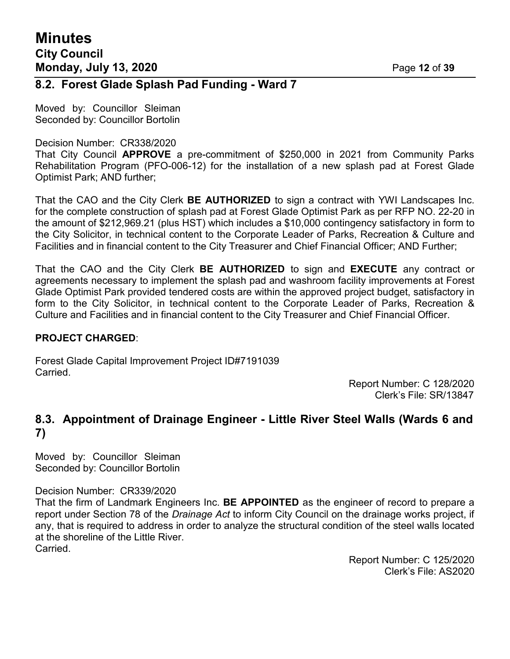### **8.2. Forest Glade Splash Pad Funding - Ward 7**

Moved by: Councillor Sleiman Seconded by: Councillor Bortolin

#### Decision Number: CR338/2020

That City Council **APPROVE** a pre-commitment of \$250,000 in 2021 from Community Parks Rehabilitation Program (PFO-006-12) for the installation of a new splash pad at Forest Glade Optimist Park; AND further;

That the CAO and the City Clerk **BE AUTHORIZED** to sign a contract with YWI Landscapes Inc. for the complete construction of splash pad at Forest Glade Optimist Park as per RFP NO. 22-20 in the amount of \$212,969.21 (plus HST) which includes a \$10,000 contingency satisfactory in form to the City Solicitor, in technical content to the Corporate Leader of Parks, Recreation & Culture and Facilities and in financial content to the City Treasurer and Chief Financial Officer; AND Further;

That the CAO and the City Clerk **BE AUTHORIZED** to sign and **EXECUTE** any contract or agreements necessary to implement the splash pad and washroom facility improvements at Forest Glade Optimist Park provided tendered costs are within the approved project budget, satisfactory in form to the City Solicitor, in technical content to the Corporate Leader of Parks, Recreation & Culture and Facilities and in financial content to the City Treasurer and Chief Financial Officer.

#### **PROJECT CHARGED**:

Forest Glade Capital Improvement Project ID#7191039 Carried.

> Report Number: C 128/2020 Clerk's File: SR/13847

### **8.3. Appointment of Drainage Engineer - Little River Steel Walls (Wards 6 and 7)**

Moved by: Councillor Sleiman Seconded by: Councillor Bortolin

#### Decision Number: CR339/2020

That the firm of Landmark Engineers Inc. **BE APPOINTED** as the engineer of record to prepare a report under Section 78 of the *Drainage Act* to inform City Council on the drainage works project, if any, that is required to address in order to analyze the structural condition of the steel walls located at the shoreline of the Little River. Carried.

> Report Number: C 125/2020 Clerk's File: AS2020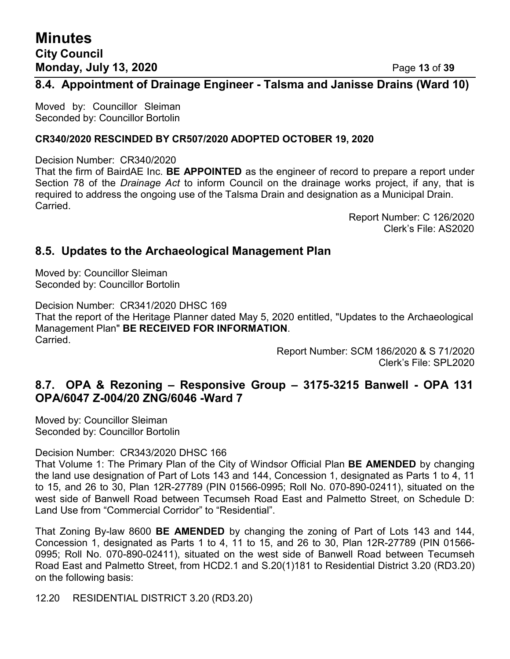## **Minutes City Council Monday, July 13, 2020** Page **13** of **39**

#### **8.4. Appointment of Drainage Engineer - Talsma and Janisse Drains (Ward 10)**

Moved by: Councillor Sleiman Seconded by: Councillor Bortolin

#### **CR340/2020 RESCINDED BY CR507/2020 ADOPTED OCTOBER 19, 2020**

Decision Number: CR340/2020

That the firm of BairdAE Inc. **BE APPOINTED** as the engineer of record to prepare a report under Section 78 of the *Drainage Act* to inform Council on the drainage works project, if any, that is required to address the ongoing use of the Talsma Drain and designation as a Municipal Drain. Carried.

> Report Number: C 126/2020 Clerk's File: AS2020

### **8.5. Updates to the Archaeological Management Plan**

Moved by: Councillor Sleiman Seconded by: Councillor Bortolin

Decision Number: CR341/2020 DHSC 169 That the report of the Heritage Planner dated May 5, 2020 entitled, "Updates to the Archaeological Management Plan" **BE RECEIVED FOR INFORMATION**. Carried.

Report Number: SCM 186/2020 & S 71/2020 Clerk's File: SPL2020

### **8.7. OPA & Rezoning – Responsive Group – 3175-3215 Banwell - OPA 131 OPA/6047 Z-004/20 ZNG/6046 -Ward 7**

Moved by: Councillor Sleiman Seconded by: Councillor Bortolin

#### Decision Number: CR343/2020 DHSC 166

That Volume 1: The Primary Plan of the City of Windsor Official Plan **BE AMENDED** by changing the land use designation of Part of Lots 143 and 144, Concession 1, designated as Parts 1 to 4, 11 to 15, and 26 to 30, Plan 12R-27789 (PIN 01566-0995; Roll No. 070-890-02411), situated on the west side of Banwell Road between Tecumseh Road East and Palmetto Street, on Schedule D: Land Use from "Commercial Corridor" to "Residential".

That Zoning By-law 8600 **BE AMENDED** by changing the zoning of Part of Lots 143 and 144, Concession 1, designated as Parts 1 to 4, 11 to 15, and 26 to 30, Plan 12R-27789 (PIN 01566- 0995; Roll No. 070-890-02411), situated on the west side of Banwell Road between Tecumseh Road East and Palmetto Street, from HCD2.1 and S.20(1)181 to Residential District 3.20 (RD3.20) on the following basis:

12.20 RESIDENTIAL DISTRICT 3.20 (RD3.20)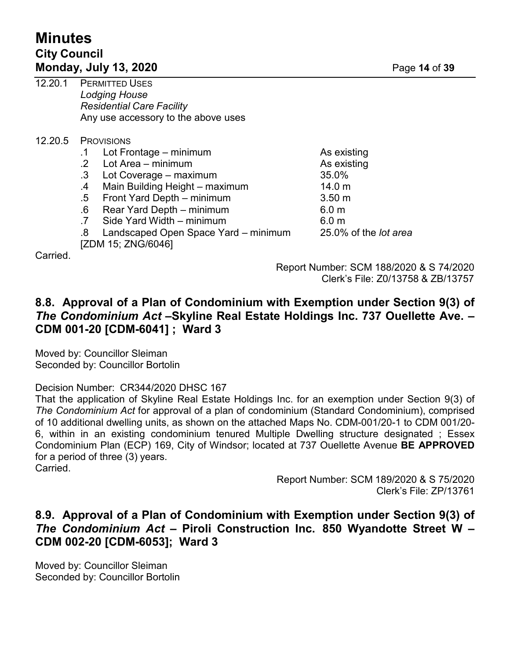# **Minutes City Council Monday, July 13, 2020** Page **14** of **39**

| 12.20.1  | <b>PERMITTED USES</b><br><b>Lodging House</b><br><b>Residential Care Facility</b><br>Any use accessory to the above uses |                              |  |
|----------|--------------------------------------------------------------------------------------------------------------------------|------------------------------|--|
| 12.20.5  | <b>PROVISIONS</b>                                                                                                        |                              |  |
|          | Lot Frontage – minimum<br>.1                                                                                             | As existing                  |  |
|          | Lot Area - minimum<br>$\cdot$ 2                                                                                          | As existing                  |  |
|          | Lot Coverage – maximum<br>$.3\,$                                                                                         | 35.0%                        |  |
|          | Main Building Height - maximum<br>$\cdot$                                                                                | 14.0 <sub>m</sub>            |  |
|          | $.5\,$<br>Front Yard Depth - minimum                                                                                     | 3.50 <sub>m</sub>            |  |
|          | Rear Yard Depth – minimum<br>.6                                                                                          | 6.0 <sub>m</sub>             |  |
|          | Side Yard Width - minimum                                                                                                | 6.0 <sub>m</sub>             |  |
|          | Landscaped Open Space Yard - minimum<br>.8                                                                               | 25.0% of the <i>lot area</i> |  |
|          | [ZDM 15; ZNG/6046]                                                                                                       |                              |  |
| Carried. |                                                                                                                          |                              |  |

Report Number: SCM 188/2020 & S 74/2020 Clerk's File: Z0/13758 & ZB/13757

### **8.8. Approval of a Plan of Condominium with Exemption under Section 9(3) of** *The Condominium Act* **–Skyline Real Estate Holdings Inc. 737 Ouellette Ave. – CDM 001-20 [CDM-6041] ; Ward 3**

Moved by: Councillor Sleiman Seconded by: Councillor Bortolin

Decision Number: CR344/2020 DHSC 167

That the application of Skyline Real Estate Holdings Inc. for an exemption under Section 9(3) of *The Condominium Act* for approval of a plan of condominium (Standard Condominium), comprised of 10 additional dwelling units, as shown on the attached Maps No. CDM-001/20-1 to CDM 001/20- 6, within in an existing condominium tenured Multiple Dwelling structure designated ; Essex Condominium Plan (ECP) 169, City of Windsor; located at 737 Ouellette Avenue **BE APPROVED** for a period of three (3) years.

Carried.

Report Number: SCM 189/2020 & S 75/2020 Clerk's File: ZP/13761

### **8.9. Approval of a Plan of Condominium with Exemption under Section 9(3) of** *The Condominium Act* **– Piroli Construction Inc. 850 Wyandotte Street W – CDM 002-20 [CDM-6053]; Ward 3**

Moved by: Councillor Sleiman Seconded by: Councillor Bortolin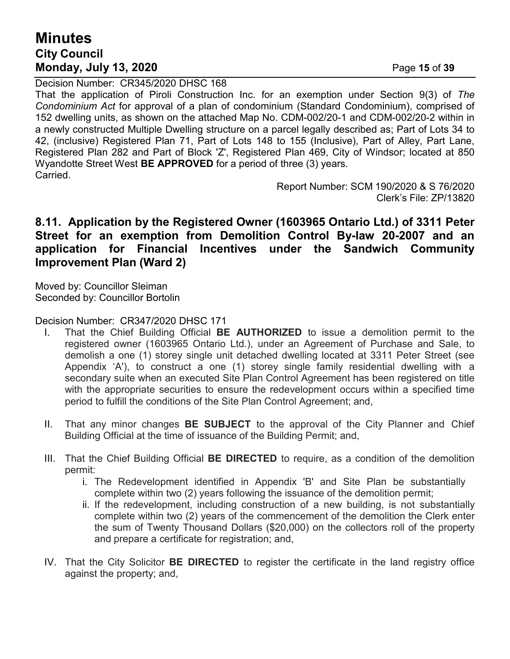# **Minutes City Council Monday, July 13, 2020** Page **15** of **39**

Decision Number: CR345/2020 DHSC 168 That the application of Piroli Construction Inc. for an exemption under Section 9(3) of *The Condominium Act* for approval of a plan of condominium (Standard Condominium), comprised of 152 dwelling units, as shown on the attached Map No. CDM-002/20-1 and CDM-002/20-2 within in a newly constructed Multiple Dwelling structure on a parcel legally described as; Part of Lots 34 to 42, (inclusive) Registered Plan 71, Part of Lots 148 to 155 (Inclusive), Part of Alley, Part Lane, Registered Plan 282 and Part of Block 'Z', Registered Plan 469, City of Windsor; located at 850 Wyandotte Street West **BE APPROVED** for a period of three (3) years. Carried.

> Report Number: SCM 190/2020 & S 76/2020 Clerk's File: ZP/13820

### **8.11. Application by the Registered Owner (1603965 Ontario Ltd.) of 3311 Peter Street for an exemption from Demolition Control By-law 20-2007 and an application for Financial Incentives under the Sandwich Community Improvement Plan (Ward 2)**

Moved by: Councillor Sleiman Seconded by: Councillor Bortolin

Decision Number: CR347/2020 DHSC 171

- I. That the Chief Building Official **BE AUTHORIZED** to issue a demolition permit to the registered owner (1603965 Ontario Ltd.), under an Agreement of Purchase and Sale, to demolish a one (1) storey single unit detached dwelling located at 3311 Peter Street (see Appendix 'A'), to construct a one (1) storey single family residential dwelling with a secondary suite when an executed Site Plan Control Agreement has been registered on title with the appropriate securities to ensure the redevelopment occurs within a specified time period to fulfill the conditions of the Site Plan Control Agreement; and,
- II. That any minor changes **BE SUBJECT** to the approval of the City Planner and Chief Building Official at the time of issuance of the Building Permit; and,
- III. That the Chief Building Official **BE DIRECTED** to require, as a condition of the demolition permit:
	- i. The Redevelopment identified in Appendix 'B' and Site Plan be substantially complete within two (2) years following the issuance of the demolition permit;
	- ii. If the redevelopment, including construction of a new building, is not substantially complete within two (2) years of the commencement of the demolition the Clerk enter the sum of Twenty Thousand Dollars (\$20,000) on the collectors roll of the property and prepare a certificate for registration; and,
- IV. That the City Solicitor **BE DIRECTED** to register the certificate in the land registry office against the property; and,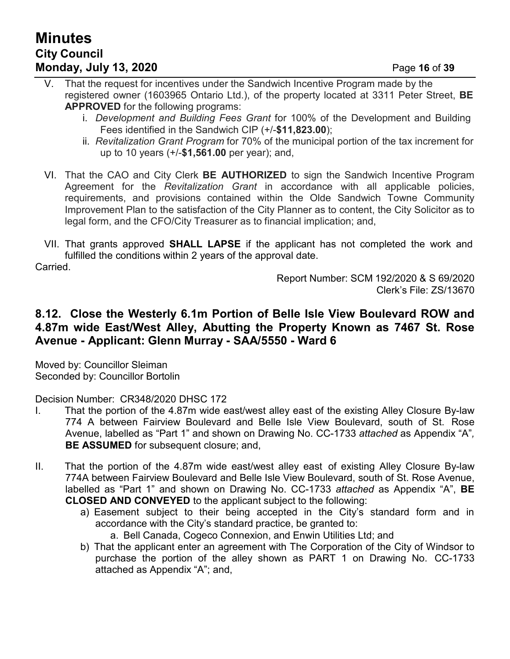# **Minutes City Council Monday, July 13, 2020** Page **16** of **39**

- V. That the request for incentives under the Sandwich Incentive Program made by the registered owner (1603965 Ontario Ltd.), of the property located at 3311 Peter Street, **BE APPROVED** for the following programs:
	- i. *Development and Building Fees Grant* for 100% of the Development and Building Fees identified in the Sandwich CIP (+/-**\$11,823.00**);
	- ii. *Revitalization Grant Program* for 70% of the municipal portion of the tax increment for up to 10 years (+/-**\$1,561.00** per year); and,
- VI. That the CAO and City Clerk **BE AUTHORIZED** to sign the Sandwich Incentive Program Agreement for the *Revitalization Grant* in accordance with all applicable policies, requirements, and provisions contained within the Olde Sandwich Towne Community Improvement Plan to the satisfaction of the City Planner as to content, the City Solicitor as to legal form, and the CFO/City Treasurer as to financial implication; and,
- VII. That grants approved **SHALL LAPSE** if the applicant has not completed the work and fulfilled the conditions within 2 years of the approval date.

Carried.

Report Number: SCM 192/2020 & S 69/2020 Clerk's File: ZS/13670

### **8.12. Close the Westerly 6.1m Portion of Belle Isle View Boulevard ROW and 4.87m wide East/West Alley, Abutting the Property Known as 7467 St. Rose Avenue - Applicant: Glenn Murray - SAA/5550 - Ward 6**

Moved by: Councillor Sleiman Seconded by: Councillor Bortolin

Decision Number: CR348/2020 DHSC 172

- I. That the portion of the 4.87m wide east/west alley east of the existing Alley Closure By-law 774 A between Fairview Boulevard and Belle Isle View Boulevard, south of St. Rose Avenue, labelled as "Part 1" and shown on Drawing No. CC-1733 *attached* as Appendix "A"*,* **BE ASSUMED** for subsequent closure; and,
- II. That the portion of the 4.87m wide east/west alley east of existing Alley Closure By-law 774A between Fairview Boulevard and Belle Isle View Boulevard, south of St. Rose Avenue, labelled as "Part 1" and shown on Drawing No. CC-1733 *attached* as Appendix "A", **BE CLOSED AND CONVEYED** to the applicant subject to the following:
	- a) Easement subject to their being accepted in the City's standard form and in accordance with the City's standard practice, be granted to:
		- a. Bell Canada, Cogeco Connexion, and Enwin Utilities Ltd; and
	- b) That the applicant enter an agreement with The Corporation of the City of Windsor to purchase the portion of the alley shown as PART 1 on Drawing No. CC-1733 attached as Appendix "A"; and,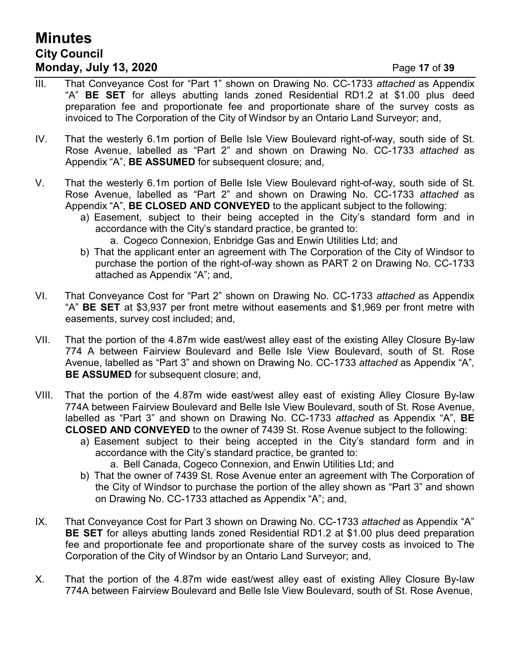# **Minutes City Council Monday, July 13, 2020** Page **17** of **39**

- III. That Conveyance Cost for "Part 1" shown on Drawing No. CC-1733 *attached* as Appendix "A" **BE SET** for alleys abutting lands zoned Residential RD1.2 at \$1.00 plus deed preparation fee and proportionate fee and proportionate share of the survey costs as invoiced to The Corporation of the City of Windsor by an Ontario Land Surveyor; and,
- IV. That the westerly 6.1m portion of Belle Isle View Boulevard right-of-way, south side of St. Rose Avenue, labelled as "Part 2" and shown on Drawing No. CC-1733 *attached* as Appendix "A", **BE ASSUMED** for subsequent closure; and,
- V. That the westerly 6.1m portion of Belle Isle View Boulevard right-of-way, south side of St. Rose Avenue, labelled as "Part 2" and shown on Drawing No. CC-1733 *attached* as Appendix "A", **BE CLOSED AND CONVEYED** to the applicant subject to the following:
	- a) Easement, subject to their being accepted in the City's standard form and in accordance with the City's standard practice, be granted to:
		- a. Cogeco Connexion, Enbridge Gas and Enwin Utilities Ltd; and
	- b) That the applicant enter an agreement with The Corporation of the City of Windsor to purchase the portion of the right-of-way shown as PART 2 on Drawing No. CC-1733 attached as Appendix "A"; and,
- VI. That Conveyance Cost for "Part 2" shown on Drawing No. CC-1733 *attached* as Appendix "A" **BE SET** at \$3,937 per front metre without easements and \$1,969 per front metre with easements, survey cost included; and,
- VII. That the portion of the 4.87m wide east/west alley east of the existing Alley Closure By-law 774 A between Fairview Boulevard and Belle Isle View Boulevard, south of St. Rose Avenue, labelled as "Part 3" and shown on Drawing No. CC-1733 *attached* as Appendix "A"*,* **BE ASSUMED** for subsequent closure; and,
- VIII. That the portion of the 4.87m wide east/west alley east of existing Alley Closure By-law 774A between Fairview Boulevard and Belle Isle View Boulevard, south of St. Rose Avenue, labelled as "Part 3" and shown on Drawing No. CC-1733 *attached* as Appendix "A", **BE CLOSED AND CONVEYED** to the owner of 7439 St. Rose Avenue subject to the following:
	- a) Easement subject to their being accepted in the City's standard form and in accordance with the City's standard practice, be granted to:
		- a. Bell Canada, Cogeco Connexion, and Enwin Utilities Ltd; and
	- b) That the owner of 7439 St. Rose Avenue enter an agreement with The Corporation of the City of Windsor to purchase the portion of the alley shown as "Part 3" and shown on Drawing No. CC-1733 attached as Appendix "A"; and,
- IX. That Conveyance Cost for Part 3 shown on Drawing No. CC-1733 *attached* as Appendix "A" **BE SET** for alleys abutting lands zoned Residential RD1.2 at \$1.00 plus deed preparation fee and proportionate fee and proportionate share of the survey costs as invoiced to The Corporation of the City of Windsor by an Ontario Land Surveyor; and,
- X. That the portion of the 4.87m wide east/west alley east of existing Alley Closure By-law 774A between Fairview Boulevard and Belle Isle View Boulevard, south of St. Rose Avenue,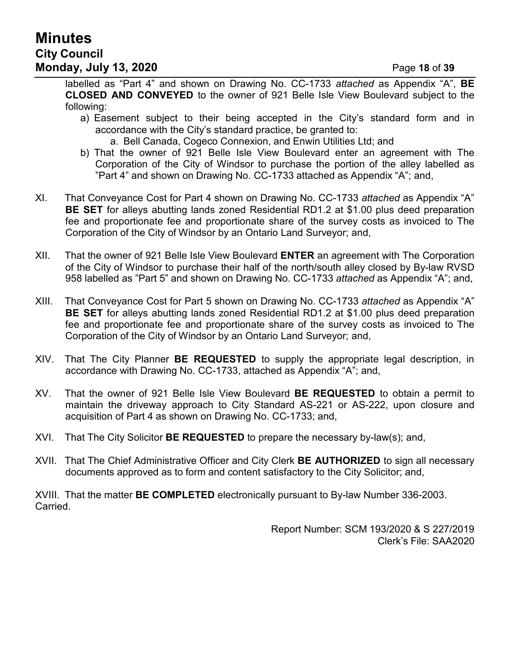# **Minutes City Council Monday, July 13, 2020** Page **18** of **39**

labelled as "Part 4" and shown on Drawing No. CC-1733 *attached* as Appendix "A", **BE CLOSED AND CONVEYED** to the owner of 921 Belle Isle View Boulevard subject to the following:

- a) Easement subject to their being accepted in the City's standard form and in accordance with the City's standard practice, be granted to:
	- a. Bell Canada, Cogeco Connexion, and Enwin Utilities Ltd; and
- b) That the owner of 921 Belle Isle View Boulevard enter an agreement with The Corporation of the City of Windsor to purchase the portion of the alley labelled as "Part 4" and shown on Drawing No. CC-1733 attached as Appendix "A"; and,
- XI. That Conveyance Cost for Part 4 shown on Drawing No. CC-1733 *attached* as Appendix "A" **BE SET** for alleys abutting lands zoned Residential RD1.2 at \$1.00 plus deed preparation fee and proportionate fee and proportionate share of the survey costs as invoiced to The Corporation of the City of Windsor by an Ontario Land Surveyor; and,
- XII. That the owner of 921 Belle Isle View Boulevard **ENTER** an agreement with The Corporation of the City of Windsor to purchase their half of the north/south alley closed by By-law RVSD 958 labelled as "Part 5" and shown on Drawing No. CC-1733 *attached* as Appendix "A"; and,
- XIII. That Conveyance Cost for Part 5 shown on Drawing No. CC-1733 *attached* as Appendix "A" **BE SET** for alleys abutting lands zoned Residential RD1.2 at \$1.00 plus deed preparation fee and proportionate fee and proportionate share of the survey costs as invoiced to The Corporation of the City of Windsor by an Ontario Land Surveyor; and,
- XIV. That The City Planner **BE REQUESTED** to supply the appropriate legal description, in accordance with Drawing No. CC-1733, attached as Appendix "A"; and,
- XV. That the owner of 921 Belle Isle View Boulevard **BE REQUESTED** to obtain a permit to maintain the driveway approach to City Standard AS-221 or AS-222, upon closure and acquisition of Part 4 as shown on Drawing No. CC-1733; and,
- XVI. That The City Solicitor **BE REQUESTED** to prepare the necessary by-law(s); and,
- XVII. That The Chief Administrative Officer and City Clerk **BE AUTHORIZED** to sign all necessary documents approved as to form and content satisfactory to the City Solicitor; and,

XVIII. That the matter **BE COMPLETED** electronically pursuant to By-law Number 336-2003. Carried.

> Report Number: SCM 193/2020 & S 227/2019 Clerk's File: SAA2020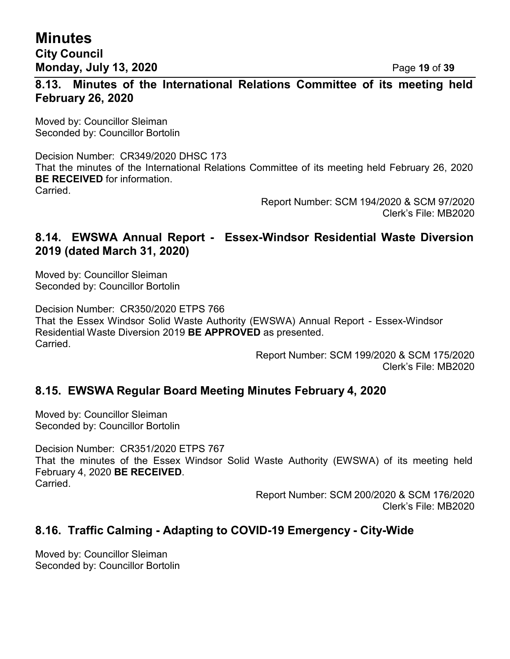## **Minutes City Council Monday, July 13, 2020** Page **19** of **39**

**8.13. Minutes of the International Relations Committee of its meeting held February 26, 2020**

Moved by: Councillor Sleiman Seconded by: Councillor Bortolin

Decision Number: CR349/2020 DHSC 173 That the minutes of the International Relations Committee of its meeting held February 26, 2020 **BE RECEIVED** for information. Carried.

> Report Number: SCM 194/2020 & SCM 97/2020 Clerk's File: MB2020

### **8.14. EWSWA Annual Report - Essex-Windsor Residential Waste Diversion 2019 (dated March 31, 2020)**

Moved by: Councillor Sleiman Seconded by: Councillor Bortolin

Decision Number: CR350/2020 ETPS 766 That the Essex Windsor Solid Waste Authority (EWSWA) Annual Report - Essex-Windsor Residential Waste Diversion 2019 **BE APPROVED** as presented. **Carried** 

Report Number: SCM 199/2020 & SCM 175/2020 Clerk's File: MB2020

#### **8.15. EWSWA Regular Board Meeting Minutes February 4, 2020**

Moved by: Councillor Sleiman Seconded by: Councillor Bortolin

Decision Number: CR351/2020 ETPS 767 That the minutes of the Essex Windsor Solid Waste Authority (EWSWA) of its meeting held February 4, 2020 **BE RECEIVED**. **Carried** 

> Report Number: SCM 200/2020 & SCM 176/2020 Clerk's File: MB2020

### **8.16. Traffic Calming - Adapting to COVID-19 Emergency - City-Wide**

Moved by: Councillor Sleiman Seconded by: Councillor Bortolin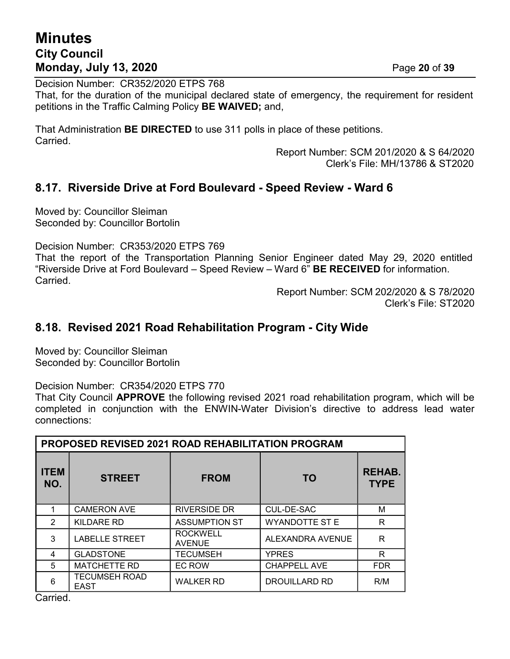# **Minutes City Council Monday, July 13, 2020** Page **20** of **39**

Decision Number: CR352/2020 ETPS 768

That, for the duration of the municipal declared state of emergency, the requirement for resident petitions in the Traffic Calming Policy **BE WAIVED;** and,

That Administration **BE DIRECTED** to use 311 polls in place of these petitions. Carried.

> Report Number: SCM 201/2020 & S 64/2020 Clerk's File: MH/13786 & ST2020

### **8.17. Riverside Drive at Ford Boulevard - Speed Review - Ward 6**

Moved by: Councillor Sleiman Seconded by: Councillor Bortolin

Decision Number: CR353/2020 ETPS 769

That the report of the Transportation Planning Senior Engineer dated May 29, 2020 entitled "Riverside Drive at Ford Boulevard – Speed Review – Ward 6" **BE RECEIVED** for information. Carried.

> Report Number: SCM 202/2020 & S 78/2020 Clerk's File: ST2020

#### **8.18. Revised 2021 Road Rehabilitation Program - City Wide**

Moved by: Councillor Sleiman Seconded by: Councillor Bortolin

Decision Number: CR354/2020 ETPS 770

That City Council **APPROVE** the following revised 2021 road rehabilitation program, which will be completed in conjunction with the ENWIN-Water Division's directive to address lead water connections:

| PROPOSED REVISED 2021 ROAD REHABILITATION PROGRAM |                                     |                                  |                       |                              |
|---------------------------------------------------|-------------------------------------|----------------------------------|-----------------------|------------------------------|
| <b>ITEM</b><br>NO.                                | <b>STREET</b>                       | <b>FROM</b>                      | <b>TO</b>             | <b>REHAB.</b><br><b>TYPE</b> |
| 1                                                 | <b>CAMERON AVE</b>                  | <b>RIVERSIDE DR</b>              | CUL-DE-SAC            | м                            |
| $\mathfrak{p}$                                    | KILDARE RD                          | <b>ASSUMPTION ST</b>             | <b>WYANDOTTE ST E</b> | R                            |
| 3                                                 | <b>LABELLE STREET</b>               | <b>ROCKWELL</b><br><b>AVENUE</b> | ALEXANDRA AVENUE      | R                            |
| 4                                                 | <b>GLADSTONE</b>                    | TECUMSEH                         | <b>YPRES</b>          | R                            |
| 5                                                 | <b>MATCHETTE RD</b>                 | EC ROW                           | <b>CHAPPELL AVE</b>   | <b>FDR</b>                   |
| 6                                                 | <b>TECUMSEH ROAD</b><br><b>EAST</b> | <b>WALKER RD</b>                 | <b>DROUILLARD RD</b>  | R/M                          |

Carried.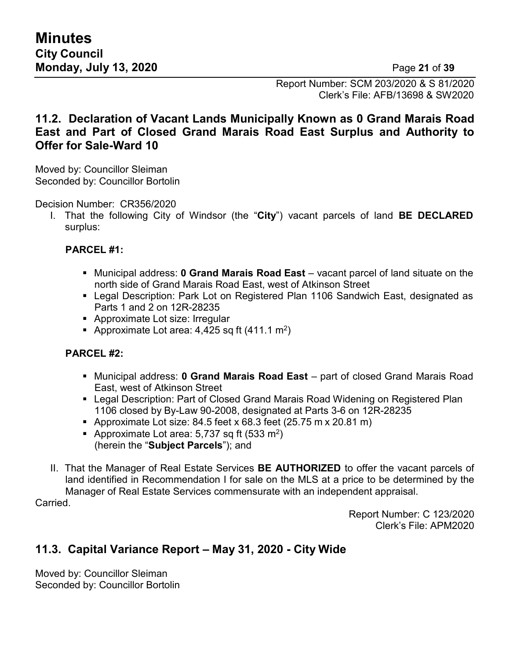Report Number: SCM 203/2020 & S 81/2020 Clerk's File: AFB/13698 & SW2020

### **11.2. Declaration of Vacant Lands Municipally Known as 0 Grand Marais Road East and Part of Closed Grand Marais Road East Surplus and Authority to Offer for Sale-Ward 10**

Moved by: Councillor Sleiman Seconded by: Councillor Bortolin

Decision Number: CR356/2020

I. That the following City of Windsor (the "**City**") vacant parcels of land **BE DECLARED** surplus:

#### **PARCEL #1:**

- Municipal address: **0 Grand Marais Road East** vacant parcel of land situate on the north side of Grand Marais Road East, west of Atkinson Street
- Legal Description: Park Lot on Registered Plan 1106 Sandwich East, designated as Parts 1 and 2 on 12R-28235
- Approximate Lot size: Irregular
- **•** Approximate Lot area: 4,425 sq ft (411.1 m<sup>2</sup>)

#### **PARCEL #2:**

- Municipal address: **0 Grand Marais Road East** part of closed Grand Marais Road East, west of Atkinson Street
- Legal Description: Part of Closed Grand Marais Road Widening on Registered Plan 1106 closed by By-Law 90-2008, designated at Parts 3-6 on 12R-28235
- **Approximate Lot size: 84.5 feet x 68.3 feet (25.75 m x 20.81 m)**
- **•** Approximate Lot area: 5,737 sq ft (533 m<sup>2</sup>) (herein the "**Subject Parcels**"); and
- II. That the Manager of Real Estate Services **BE AUTHORIZED** to offer the vacant parcels of land identified in Recommendation I for sale on the MLS at a price to be determined by the Manager of Real Estate Services commensurate with an independent appraisal.

Carried.

Report Number: C 123/2020 Clerk's File: APM2020

## **11.3. Capital Variance Report – May 31, 2020 - City Wide**

Moved by: Councillor Sleiman Seconded by: Councillor Bortolin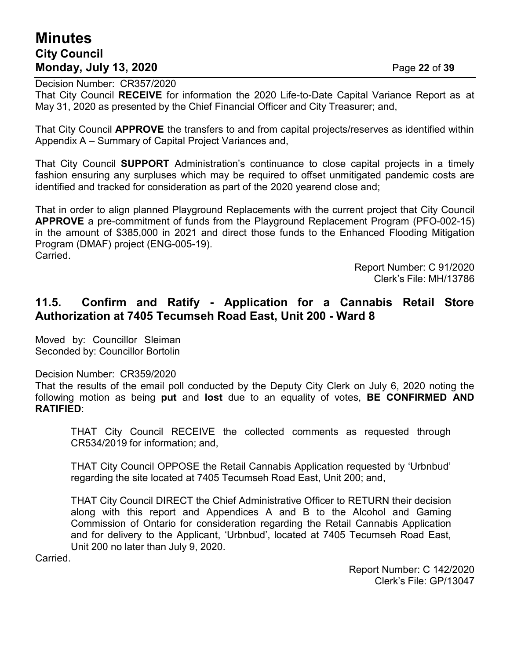# **Minutes City Council Monday, July 13, 2020** Page **22** of **39**

Decision Number: CR357/2020

That City Council **RECEIVE** for information the 2020 Life-to-Date Capital Variance Report as at May 31, 2020 as presented by the Chief Financial Officer and City Treasurer; and,

That City Council **APPROVE** the transfers to and from capital projects/reserves as identified within Appendix A – Summary of Capital Project Variances and,

That City Council **SUPPORT** Administration's continuance to close capital projects in a timely fashion ensuring any surpluses which may be required to offset unmitigated pandemic costs are identified and tracked for consideration as part of the 2020 yearend close and;

That in order to align planned Playground Replacements with the current project that City Council **APPROVE** a pre-commitment of funds from the Playground Replacement Program (PFO-002-15) in the amount of \$385,000 in 2021 and direct those funds to the Enhanced Flooding Mitigation Program (DMAF) project (ENG-005-19). Carried.

> Report Number: C 91/2020 Clerk's File: MH/13786

### **11.5. Confirm and Ratify - Application for a Cannabis Retail Store Authorization at 7405 Tecumseh Road East, Unit 200 - Ward 8**

Moved by: Councillor Sleiman Seconded by: Councillor Bortolin

Decision Number: CR359/2020

That the results of the email poll conducted by the Deputy City Clerk on July 6, 2020 noting the following motion as being **put** and **lost** due to an equality of votes, **BE CONFIRMED AND RATIFIED**:

THAT City Council RECEIVE the collected comments as requested through CR534/2019 for information; and,

THAT City Council OPPOSE the Retail Cannabis Application requested by 'Urbnbud' regarding the site located at 7405 Tecumseh Road East, Unit 200; and,

THAT City Council DIRECT the Chief Administrative Officer to RETURN their decision along with this report and Appendices A and B to the Alcohol and Gaming Commission of Ontario for consideration regarding the Retail Cannabis Application and for delivery to the Applicant, 'Urbnbud', located at 7405 Tecumseh Road East, Unit 200 no later than July 9, 2020.

Carried.

Report Number: C 142/2020 Clerk's File: GP/13047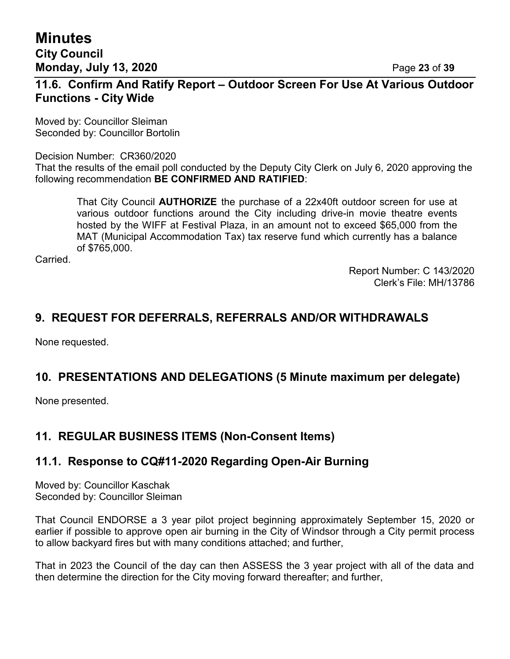**Minutes City Council Monday, July 13, 2020** Page **23** of **39**

### **11.6. Confirm And Ratify Report – Outdoor Screen For Use At Various Outdoor Functions - City Wide**

Moved by: Councillor Sleiman Seconded by: Councillor Bortolin

Decision Number: CR360/2020

That the results of the email poll conducted by the Deputy City Clerk on July 6, 2020 approving the following recommendation **BE CONFIRMED AND RATIFIED**:

That City Council **AUTHORIZE** the purchase of a 22x40ft outdoor screen for use at various outdoor functions around the City including drive-in movie theatre events hosted by the WIFF at Festival Plaza, in an amount not to exceed \$65,000 from the MAT (Municipal Accommodation Tax) tax reserve fund which currently has a balance of \$765,000.

Carried.

Report Number: C 143/2020 Clerk's File: MH/13786

### **9. REQUEST FOR DEFERRALS, REFERRALS AND/OR WITHDRAWALS**

None requested.

### **10. PRESENTATIONS AND DELEGATIONS (5 Minute maximum per delegate)**

None presented.

### **11. REGULAR BUSINESS ITEMS (Non-Consent Items)**

### **11.1. Response to CQ#11-2020 Regarding Open-Air Burning**

Moved by: Councillor Kaschak Seconded by: Councillor Sleiman

That Council ENDORSE a 3 year pilot project beginning approximately September 15, 2020 or earlier if possible to approve open air burning in the City of Windsor through a City permit process to allow backyard fires but with many conditions attached; and further,

That in 2023 the Council of the day can then ASSESS the 3 year project with all of the data and then determine the direction for the City moving forward thereafter; and further,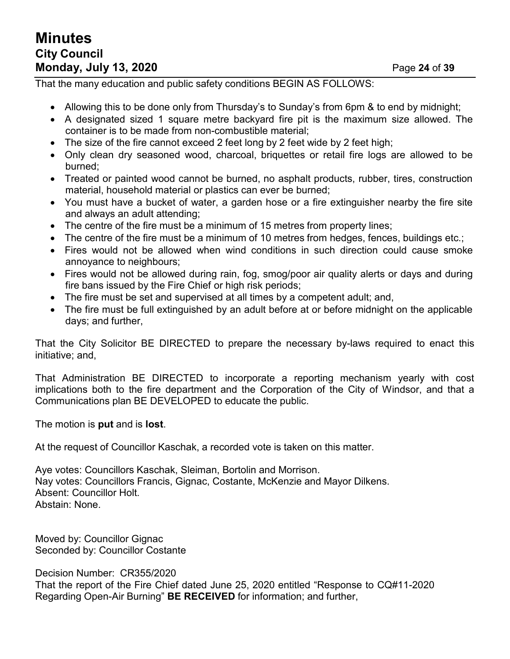# **Minutes City Council Monday, July 13, 2020** Page **24** of **39**

That the many education and public safety conditions BEGIN AS FOLLOWS:

- Allowing this to be done only from Thursday's to Sunday's from 6pm & to end by midnight;
- A designated sized 1 square metre backyard fire pit is the maximum size allowed. The container is to be made from non-combustible material;
- The size of the fire cannot exceed 2 feet long by 2 feet wide by 2 feet high;
- Only clean dry seasoned wood, charcoal, briquettes or retail fire logs are allowed to be burned;
- Treated or painted wood cannot be burned, no asphalt products, rubber, tires, construction material, household material or plastics can ever be burned;
- You must have a bucket of water, a garden hose or a fire extinguisher nearby the fire site and always an adult attending;
- The centre of the fire must be a minimum of 15 metres from property lines;
- The centre of the fire must be a minimum of 10 metres from hedges, fences, buildings etc.;
- Fires would not be allowed when wind conditions in such direction could cause smoke annoyance to neighbours;
- Fires would not be allowed during rain, fog, smog/poor air quality alerts or days and during fire bans issued by the Fire Chief or high risk periods;
- The fire must be set and supervised at all times by a competent adult; and,
- The fire must be full extinguished by an adult before at or before midnight on the applicable days; and further,

That the City Solicitor BE DIRECTED to prepare the necessary by-laws required to enact this initiative; and,

That Administration BE DIRECTED to incorporate a reporting mechanism yearly with cost implications both to the fire department and the Corporation of the City of Windsor, and that a Communications plan BE DEVELOPED to educate the public.

The motion is **put** and is **lost**.

At the request of Councillor Kaschak, a recorded vote is taken on this matter.

Aye votes: Councillors Kaschak, Sleiman, Bortolin and Morrison. Nay votes: Councillors Francis, Gignac, Costante, McKenzie and Mayor Dilkens. Absent: Councillor Holt. Abstain: None.

Moved by: Councillor Gignac Seconded by: Councillor Costante

Decision Number: CR355/2020

That the report of the Fire Chief dated June 25, 2020 entitled "Response to CQ#11-2020 Regarding Open-Air Burning" **BE RECEIVED** for information; and further,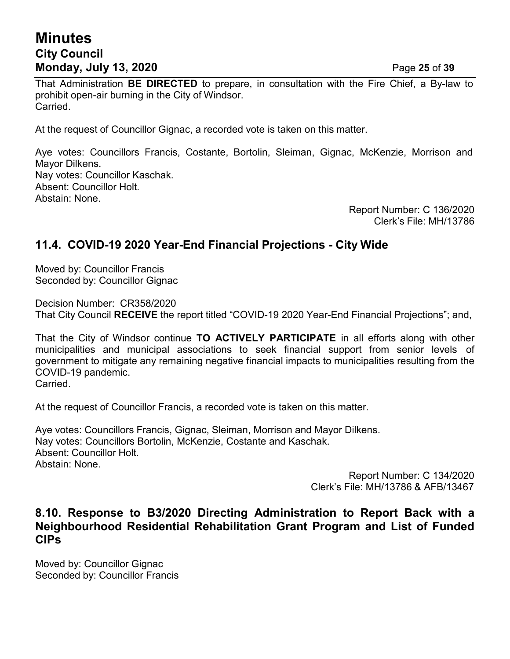## **Minutes City Council Monday, July 13, 2020** Page **25** of **39**

That Administration **BE DIRECTED** to prepare, in consultation with the Fire Chief, a By-law to prohibit open-air burning in the City of Windsor. Carried.

At the request of Councillor Gignac, a recorded vote is taken on this matter.

Aye votes: Councillors Francis, Costante, Bortolin, Sleiman, Gignac, McKenzie, Morrison and Mayor Dilkens. Nay votes: Councillor Kaschak. Absent: Councillor Holt. Abstain: None.

Report Number: C 136/2020 Clerk's File: MH/13786

### **11.4. COVID-19 2020 Year-End Financial Projections - City Wide**

Moved by: Councillor Francis Seconded by: Councillor Gignac

Decision Number: CR358/2020 That City Council **RECEIVE** the report titled "COVID-19 2020 Year-End Financial Projections"; and,

That the City of Windsor continue **TO ACTIVELY PARTICIPATE** in all efforts along with other municipalities and municipal associations to seek financial support from senior levels of government to mitigate any remaining negative financial impacts to municipalities resulting from the COVID-19 pandemic. Carried.

At the request of Councillor Francis, a recorded vote is taken on this matter.

Aye votes: Councillors Francis, Gignac, Sleiman, Morrison and Mayor Dilkens. Nay votes: Councillors Bortolin, McKenzie, Costante and Kaschak. Absent: Councillor Holt. Abstain: None.

Report Number: C 134/2020 Clerk's File: MH/13786 & AFB/13467

### **8.10. Response to B3/2020 Directing Administration to Report Back with a Neighbourhood Residential Rehabilitation Grant Program and List of Funded CIPs**

Moved by: Councillor Gignac Seconded by: Councillor Francis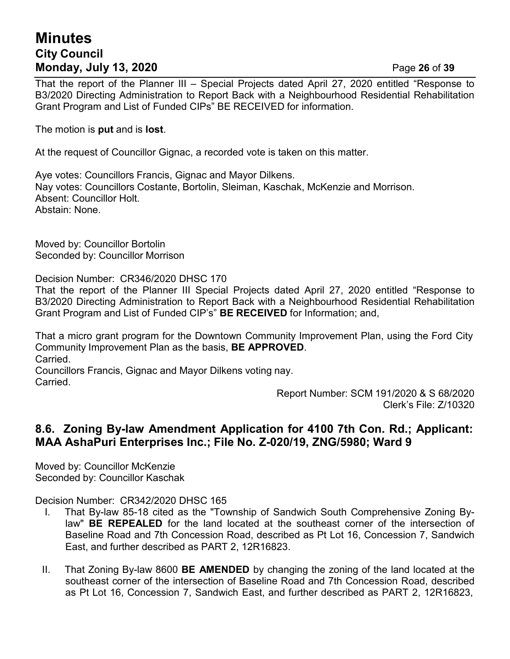# **Minutes City Council Monday, July 13, 2020** Page **26** of **39**

That the report of the Planner III – Special Projects dated April 27, 2020 entitled "Response to B3/2020 Directing Administration to Report Back with a Neighbourhood Residential Rehabilitation Grant Program and List of Funded CIPs" BE RECEIVED for information.

The motion is **put** and is **lost**.

At the request of Councillor Gignac, a recorded vote is taken on this matter.

Aye votes: Councillors Francis, Gignac and Mayor Dilkens. Nay votes: Councillors Costante, Bortolin, Sleiman, Kaschak, McKenzie and Morrison. Absent: Councillor Holt. Abstain: None.

Moved by: Councillor Bortolin Seconded by: Councillor Morrison

Decision Number: CR346/2020 DHSC 170

That the report of the Planner III Special Projects dated April 27, 2020 entitled "Response to B3/2020 Directing Administration to Report Back with a Neighbourhood Residential Rehabilitation Grant Program and List of Funded CIP's" **BE RECEIVED** for Information; and,

That a micro grant program for the Downtown Community Improvement Plan, using the Ford City Community Improvement Plan as the basis, **BE APPROVED**. Carried.

Councillors Francis, Gignac and Mayor Dilkens voting nay. Carried.

Report Number: SCM 191/2020 & S 68/2020 Clerk's File: Z/10320

### **8.6. Zoning By-law Amendment Application for 4100 7th Con. Rd.; Applicant: MAA AshaPuri Enterprises Inc.; File No. Z-020/19, ZNG/5980; Ward 9**

Moved by: Councillor McKenzie Seconded by: Councillor Kaschak

Decision Number: CR342/2020 DHSC 165

- I. That By-law 85-18 cited as the "Township of Sandwich South Comprehensive Zoning Bylaw" **BE REPEALED** for the land located at the southeast corner of the intersection of Baseline Road and 7th Concession Road, described as Pt Lot 16, Concession 7, Sandwich East, and further described as PART 2, 12R16823.
- II. That Zoning By-law 8600 **BE AMENDED** by changing the zoning of the land located at the southeast corner of the intersection of Baseline Road and 7th Concession Road, described as Pt Lot 16, Concession 7, Sandwich East, and further described as PART 2, 12R16823,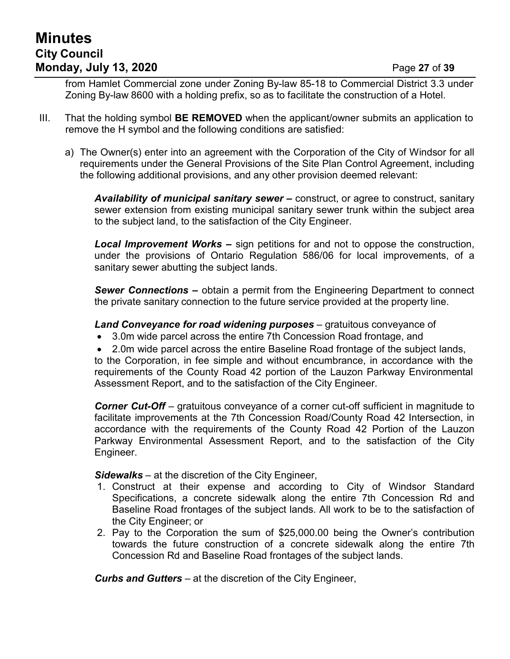# **Minutes City Council Monday, July 13, 2020** Page **27** of **39**

from Hamlet Commercial zone under Zoning By-law 85-18 to Commercial District 3.3 under Zoning By-law 8600 with a holding prefix, so as to facilitate the construction of a Hotel.

- III. That the holding symbol **BE REMOVED** when the applicant/owner submits an application to remove the H symbol and the following conditions are satisfied:
	- a) The Owner(s) enter into an agreement with the Corporation of the City of Windsor for all requirements under the General Provisions of the Site Plan Control Agreement, including the following additional provisions, and any other provision deemed relevant:

*Availability of municipal sanitary sewer –* construct, or agree to construct, sanitary sewer extension from existing municipal sanitary sewer trunk within the subject area to the subject land, to the satisfaction of the City Engineer.

*Local Improvement Works –* sign petitions for and not to oppose the construction, under the provisions of Ontario Regulation 586/06 for local improvements, of a sanitary sewer abutting the subject lands.

*Sewer Connections –* obtain a permit from the Engineering Department to connect the private sanitary connection to the future service provided at the property line.

*Land Conveyance for road widening purposes* – gratuitous conveyance of

- 3.0m wide parcel across the entire 7th Concession Road frontage, and
- 2.0m wide parcel across the entire Baseline Road frontage of the subject lands,

to the Corporation, in fee simple and without encumbrance, in accordance with the requirements of the County Road 42 portion of the Lauzon Parkway Environmental Assessment Report, and to the satisfaction of the City Engineer.

*Corner Cut-Off* – gratuitous conveyance of a corner cut-off sufficient in magnitude to facilitate improvements at the 7th Concession Road/County Road 42 Intersection, in accordance with the requirements of the County Road 42 Portion of the Lauzon Parkway Environmental Assessment Report, and to the satisfaction of the City Engineer.

*Sidewalks* – at the discretion of the City Engineer,

- 1. Construct at their expense and according to City of Windsor Standard Specifications, a concrete sidewalk along the entire 7th Concession Rd and Baseline Road frontages of the subject lands. All work to be to the satisfaction of the City Engineer; or
- 2. Pay to the Corporation the sum of \$25,000.00 being the Owner's contribution towards the future construction of a concrete sidewalk along the entire 7th Concession Rd and Baseline Road frontages of the subject lands.

*Curbs and Gutters* – at the discretion of the City Engineer,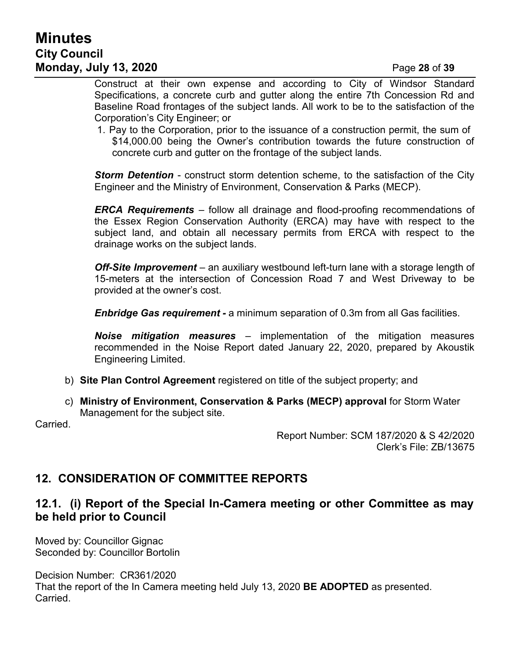# **Minutes City Council Monday, July 13, 2020** Page **28** of **39**

Construct at their own expense and according to City of Windsor Standard Specifications, a concrete curb and gutter along the entire 7th Concession Rd and Baseline Road frontages of the subject lands. All work to be to the satisfaction of the Corporation's City Engineer; or

1. Pay to the Corporation, prior to the issuance of a construction permit, the sum of \$14,000.00 being the Owner's contribution towards the future construction of concrete curb and gutter on the frontage of the subject lands.

*Storm Detention* - construct storm detention scheme, to the satisfaction of the City Engineer and the Ministry of Environment, Conservation & Parks (MECP).

*ERCA Requirements* – follow all drainage and flood-proofing recommendations of the Essex Region Conservation Authority (ERCA) may have with respect to the subject land, and obtain all necessary permits from ERCA with respect to the drainage works on the subject lands.

**Off-Site Improvement** – an auxiliary westbound left-turn lane with a storage length of 15-meters at the intersection of Concession Road 7 and West Driveway to be provided at the owner's cost.

*Enbridge Gas requirement -* a minimum separation of 0.3m from all Gas facilities.

*Noise mitigation measures* – implementation of the mitigation measures recommended in the Noise Report dated January 22, 2020, prepared by Akoustik Engineering Limited.

- b) **Site Plan Control Agreement** registered on title of the subject property; and
- c) **Ministry of Environment, Conservation & Parks (MECP) approval** for Storm Water Management for the subject site.

Carried.

Report Number: SCM 187/2020 & S 42/2020 Clerk's File: ZB/13675

### **12. CONSIDERATION OF COMMITTEE REPORTS**

### **12.1. (i) Report of the Special In-Camera meeting or other Committee as may be held prior to Council**

Moved by: Councillor Gignac Seconded by: Councillor Bortolin

Decision Number: CR361/2020 That the report of the In Camera meeting held July 13, 2020 **BE ADOPTED** as presented. Carried.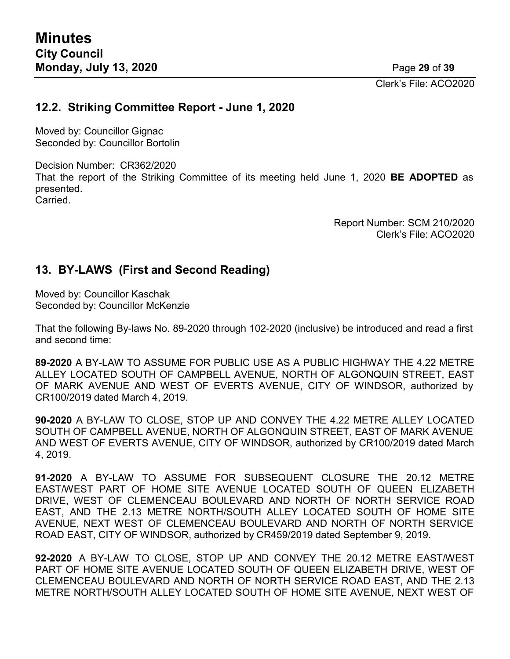Clerk's File: ACO2020

#### **12.2. Striking Committee Report - June 1, 2020**

Moved by: Councillor Gignac Seconded by: Councillor Bortolin

Decision Number: CR362/2020 That the report of the Striking Committee of its meeting held June 1, 2020 **BE ADOPTED** as presented. **Carried** 

> Report Number: SCM 210/2020 Clerk's File: ACO2020

### **13. BY-LAWS (First and Second Reading)**

Moved by: Councillor Kaschak Seconded by: Councillor McKenzie

That the following By-laws No. 89-2020 through 102-2020 (inclusive) be introduced and read a first and second time:

**89-2020** A BY-LAW TO ASSUME FOR PUBLIC USE AS A PUBLIC HIGHWAY THE 4.22 METRE ALLEY LOCATED SOUTH OF CAMPBELL AVENUE, NORTH OF ALGONQUIN STREET, EAST OF MARK AVENUE AND WEST OF EVERTS AVENUE, CITY OF WINDSOR, authorized by CR100/2019 dated March 4, 2019.

**90-2020** A BY-LAW TO CLOSE, STOP UP AND CONVEY THE 4.22 METRE ALLEY LOCATED SOUTH OF CAMPBELL AVENUE, NORTH OF ALGONQUIN STREET, EAST OF MARK AVENUE AND WEST OF EVERTS AVENUE, CITY OF WINDSOR, authorized by CR100/2019 dated March 4, 2019.

**91-2020** A BY-LAW TO ASSUME FOR SUBSEQUENT CLOSURE THE 20.12 METRE EAST/WEST PART OF HOME SITE AVENUE LOCATED SOUTH OF QUEEN ELIZABETH DRIVE, WEST OF CLEMENCEAU BOULEVARD AND NORTH OF NORTH SERVICE ROAD EAST, AND THE 2.13 METRE NORTH/SOUTH ALLEY LOCATED SOUTH OF HOME SITE AVENUE, NEXT WEST OF CLEMENCEAU BOULEVARD AND NORTH OF NORTH SERVICE ROAD EAST, CITY OF WINDSOR, authorized by CR459/2019 dated September 9, 2019.

**92-2020** A BY-LAW TO CLOSE, STOP UP AND CONVEY THE 20.12 METRE EAST/WEST PART OF HOME SITE AVENUE LOCATED SOUTH OF QUEEN ELIZABETH DRIVE, WEST OF CLEMENCEAU BOULEVARD AND NORTH OF NORTH SERVICE ROAD EAST, AND THE 2.13 METRE NORTH/SOUTH ALLEY LOCATED SOUTH OF HOME SITE AVENUE, NEXT WEST OF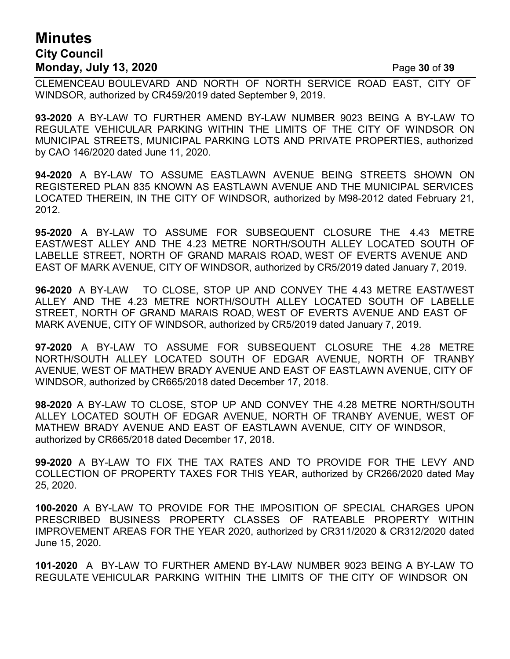# **Minutes City Council Monday, July 13, 2020** Page **30** of **39**

CLEMENCEAU BOULEVARD AND NORTH OF NORTH SERVICE ROAD EAST, CITY OF WINDSOR, authorized by CR459/2019 dated September 9, 2019.

**93-2020** A BY-LAW TO FURTHER AMEND BY-LAW NUMBER 9023 BEING A BY-LAW TO REGULATE VEHICULAR PARKING WITHIN THE LIMITS OF THE CITY OF WINDSOR ON MUNICIPAL STREETS, MUNICIPAL PARKING LOTS AND PRIVATE PROPERTIES, authorized by CAO 146/2020 dated June 11, 2020.

**94-2020** A BY-LAW TO ASSUME EASTLAWN AVENUE BEING STREETS SHOWN ON REGISTERED PLAN 835 KNOWN AS EASTLAWN AVENUE AND THE MUNICIPAL SERVICES LOCATED THEREIN, IN THE CITY OF WINDSOR, authorized by M98-2012 dated February 21, 2012.

**95-2020** A BY-LAW TO ASSUME FOR SUBSEQUENT CLOSURE THE 4.43 METRE EAST/WEST ALLEY AND THE 4.23 METRE NORTH/SOUTH ALLEY LOCATED SOUTH OF LABELLE STREET, NORTH OF GRAND MARAIS ROAD, WEST OF EVERTS AVENUE AND EAST OF MARK AVENUE, CITY OF WINDSOR, authorized by CR5/2019 dated January 7, 2019.

**96-2020** A BY-LAW TO CLOSE, STOP UP AND CONVEY THE 4.43 METRE EAST/WEST ALLEY AND THE 4.23 METRE NORTH/SOUTH ALLEY LOCATED SOUTH OF LABELLE STREET, NORTH OF GRAND MARAIS ROAD, WEST OF EVERTS AVENUE AND EAST OF MARK AVENUE, CITY OF WINDSOR, authorized by CR5/2019 dated January 7, 2019.

**97-2020** A BY-LAW TO ASSUME FOR SUBSEQUENT CLOSURE THE 4.28 METRE NORTH/SOUTH ALLEY LOCATED SOUTH OF EDGAR AVENUE, NORTH OF TRANBY AVENUE, WEST OF MATHEW BRADY AVENUE AND EAST OF EASTLAWN AVENUE, CITY OF WINDSOR, authorized by CR665/2018 dated December 17, 2018.

**98-2020** A BY-LAW TO CLOSE, STOP UP AND CONVEY THE 4.28 METRE NORTH/SOUTH ALLEY LOCATED SOUTH OF EDGAR AVENUE, NORTH OF TRANBY AVENUE, WEST OF MATHEW BRADY AVENUE AND EAST OF EASTLAWN AVENUE, CITY OF WINDSOR, authorized by CR665/2018 dated December 17, 2018.

**99-2020** A BY-LAW TO FIX THE TAX RATES AND TO PROVIDE FOR THE LEVY AND COLLECTION OF PROPERTY TAXES FOR THIS YEAR, authorized by CR266/2020 dated May 25, 2020.

**100-2020** A BY-LAW TO PROVIDE FOR THE IMPOSITION OF SPECIAL CHARGES UPON PRESCRIBED BUSINESS PROPERTY CLASSES OF RATEABLE PROPERTY WITHIN IMPROVEMENT AREAS FOR THE YEAR 2020, authorized by CR311/2020 & CR312/2020 dated June 15, 2020.

**101-2020** A BY-LAW TO FURTHER AMEND BY-LAW NUMBER 9023 BEING A BY-LAW TO REGULATE VEHICULAR PARKING WITHIN THE LIMITS OF THE CITY OF WINDSOR ON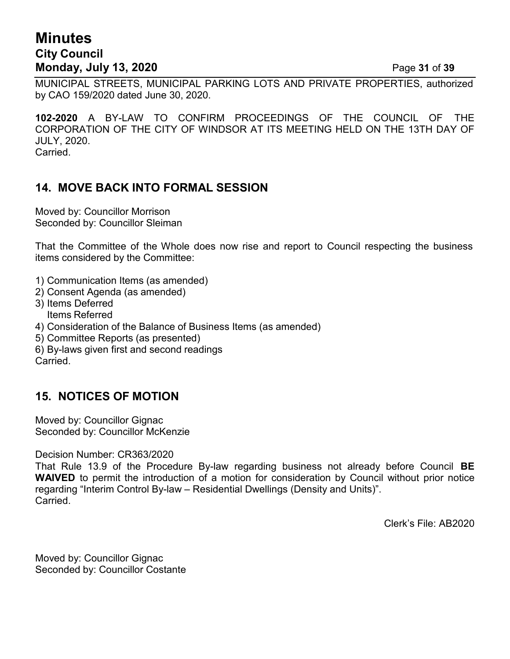# **Minutes City Council Monday, July 13, 2020** Page **31** of **39**

MUNICIPAL STREETS, MUNICIPAL PARKING LOTS AND PRIVATE PROPERTIES, authorized by CAO 159/2020 dated June 30, 2020.

**102-2020** A BY-LAW TO CONFIRM PROCEEDINGS OF THE COUNCIL OF THE CORPORATION OF THE CITY OF WINDSOR AT ITS MEETING HELD ON THE 13TH DAY OF JULY, 2020. Carried.

### **14. MOVE BACK INTO FORMAL SESSION**

Moved by: Councillor Morrison Seconded by: Councillor Sleiman

That the Committee of the Whole does now rise and report to Council respecting the business items considered by the Committee:

- 1) Communication Items (as amended)
- 2) Consent Agenda (as amended)
- 3) Items Deferred
- Items Referred 4) Consideration of the Balance of Business Items (as amended)
- 5) Committee Reports (as presented)
- 6) By-laws given first and second readings Carried.

### **15. NOTICES OF MOTION**

Moved by: Councillor Gignac Seconded by: Councillor McKenzie

Decision Number: CR363/2020

That Rule 13.9 of the Procedure By-law regarding business not already before Council **BE WAIVED** to permit the introduction of a motion for consideration by Council without prior notice regarding "Interim Control By-law – Residential Dwellings (Density and Units)". Carried.

Clerk's File: AB2020

Moved by: Councillor Gignac Seconded by: Councillor Costante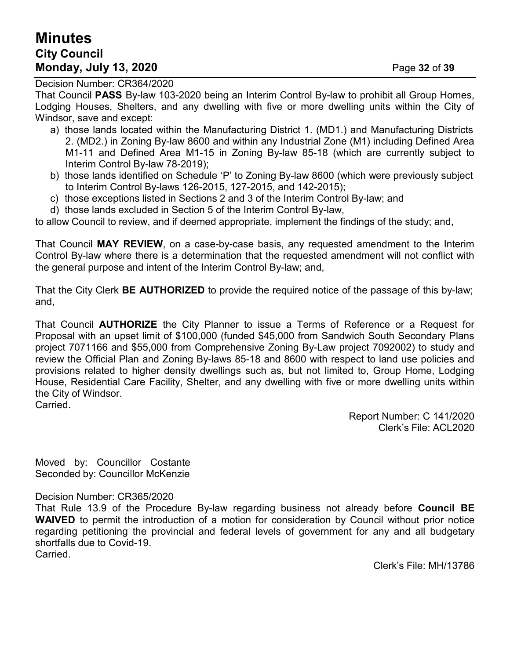# **Minutes City Council Monday, July 13, 2020** Page **32** of **39**

Decision Number: CR364/2020

That Council **PASS** By-law 103-2020 being an Interim Control By-law to prohibit all Group Homes, Lodging Houses, Shelters, and any dwelling with five or more dwelling units within the City of Windsor, save and except:

- a) those lands located within the Manufacturing District 1. (MD1.) and Manufacturing Districts 2. (MD2.) in Zoning By-law 8600 and within any Industrial Zone (M1) including Defined Area M1-11 and Defined Area M1-15 in Zoning By-law 85-18 (which are currently subject to Interim Control By-law 78-2019);
- b) those lands identified on Schedule 'P' to Zoning By-law 8600 (which were previously subject to Interim Control By-laws 126-2015, 127-2015, and 142-2015);
- c) those exceptions listed in Sections 2 and 3 of the Interim Control By-law; and
- d) those lands excluded in Section 5 of the Interim Control By-law,

to allow Council to review, and if deemed appropriate, implement the findings of the study; and,

That Council **MAY REVIEW**, on a case-by-case basis, any requested amendment to the Interim Control By-law where there is a determination that the requested amendment will not conflict with the general purpose and intent of the Interim Control By-law; and,

That the City Clerk **BE AUTHORIZED** to provide the required notice of the passage of this by-law; and,

That Council **AUTHORIZE** the City Planner to issue a Terms of Reference or a Request for Proposal with an upset limit of \$100,000 (funded \$45,000 from Sandwich South Secondary Plans project 7071166 and \$55,000 from Comprehensive Zoning By-Law project 7092002) to study and review the Official Plan and Zoning By-laws 85-18 and 8600 with respect to land use policies and provisions related to higher density dwellings such as, but not limited to, Group Home, Lodging House, Residential Care Facility, Shelter, and any dwelling with five or more dwelling units within the City of Windsor. Carried.

> Report Number: C 141/2020 Clerk's File: ACL2020

Moved by: Councillor Costante Seconded by: Councillor McKenzie

#### Decision Number: CR365/2020

That Rule 13.9 of the Procedure By-law regarding business not already before **Council BE WAIVED** to permit the introduction of a motion for consideration by Council without prior notice regarding petitioning the provincial and federal levels of government for any and all budgetary shortfalls due to Covid-19.

Carried.

Clerk's File: MH/13786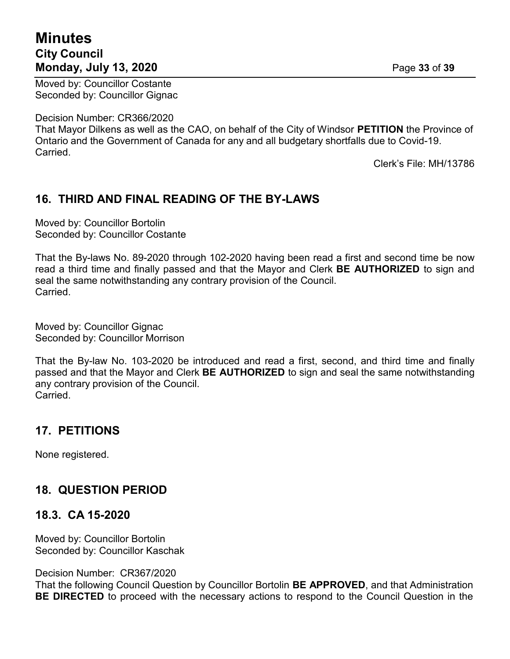# **Minutes City Council Monday, July 13, 2020** Page **33** of **39**

Moved by: Councillor Costante Seconded by: Councillor Gignac

Decision Number: CR366/2020

That Mayor Dilkens as well as the CAO, on behalf of the City of Windsor **PETITION** the Province of Ontario and the Government of Canada for any and all budgetary shortfalls due to Covid-19. Carried.

Clerk's File: MH/13786

## **16. THIRD AND FINAL READING OF THE BY-LAWS**

Moved by: Councillor Bortolin Seconded by: Councillor Costante

That the By-laws No. 89-2020 through 102-2020 having been read a first and second time be now read a third time and finally passed and that the Mayor and Clerk **BE AUTHORIZED** to sign and seal the same notwithstanding any contrary provision of the Council. Carried.

Moved by: Councillor Gignac Seconded by: Councillor Morrison

That the By-law No. 103-2020 be introduced and read a first, second, and third time and finally passed and that the Mayor and Clerk **BE AUTHORIZED** to sign and seal the same notwithstanding any contrary provision of the Council. Carried.

## **17. PETITIONS**

None registered.

## **18. QUESTION PERIOD**

#### **18.3. CA 15-2020**

Moved by: Councillor Bortolin Seconded by: Councillor Kaschak

Decision Number: CR367/2020

That the following Council Question by Councillor Bortolin **BE APPROVED**, and that Administration **BE DIRECTED** to proceed with the necessary actions to respond to the Council Question in the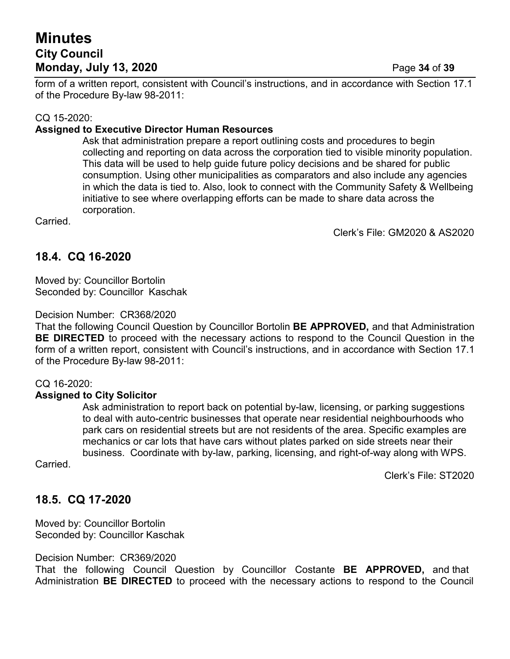# **Minutes City Council Monday, July 13, 2020** Page **34** of **39**

form of a written report, consistent with Council's instructions, and in accordance with Section 17.1 of the Procedure By-law 98-2011:

#### CQ 15-2020:

#### **Assigned to Executive Director Human Resources**

Ask that administration prepare a report outlining costs and procedures to begin collecting and reporting on data across the corporation tied to visible minority population. This data will be used to help guide future policy decisions and be shared for public consumption. Using other municipalities as comparators and also include any agencies in which the data is tied to. Also, look to connect with the Community Safety & Wellbeing initiative to see where overlapping efforts can be made to share data across the corporation.

Carried.

Clerk's File: GM2020 & AS2020

### **18.4. CQ 16-2020**

Moved by: Councillor Bortolin Seconded by: Councillor Kaschak

#### Decision Number: CR368/2020

That the following Council Question by Councillor Bortolin **BE APPROVED,** and that Administration **BE DIRECTED** to proceed with the necessary actions to respond to the Council Question in the form of a written report, consistent with Council's instructions, and in accordance with Section 17.1 of the Procedure By-law 98-2011:

#### CQ 16-2020:

#### **Assigned to City Solicitor**

Ask administration to report back on potential by-law, licensing, or parking suggestions to deal with auto-centric businesses that operate near residential neighbourhoods who park cars on residential streets but are not residents of the area. Specific examples are mechanics or car lots that have cars without plates parked on side streets near their business. Coordinate with by-law, parking, licensing, and right-of-way along with WPS.

Carried.

Clerk's File: ST2020

#### **18.5. CQ 17-2020**

Moved by: Councillor Bortolin Seconded by: Councillor Kaschak

Decision Number: CR369/2020

That the following Council Question by Councillor Costante **BE APPROVED,** and that Administration **BE DIRECTED** to proceed with the necessary actions to respond to the Council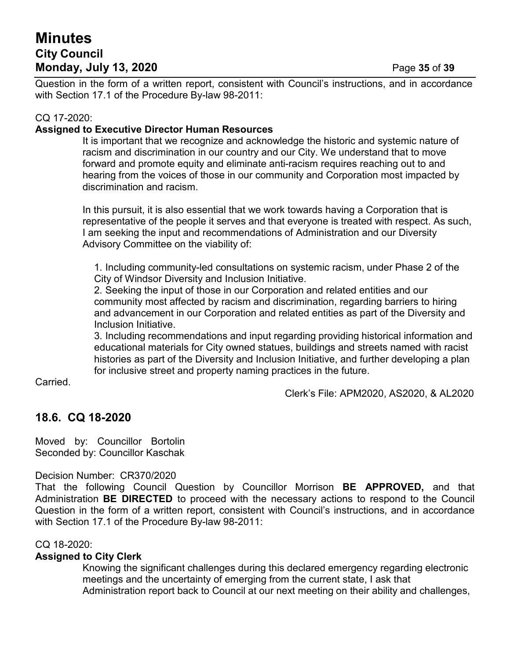# **Minutes City Council Monday, July 13, 2020** Page **35** of **39**

Question in the form of a written report, consistent with Council's instructions, and in accordance with Section 17.1 of the Procedure By-law 98-2011:

#### CQ 17-2020:

#### **Assigned to Executive Director Human Resources**

It is important that we recognize and acknowledge the historic and systemic nature of racism and discrimination in our country and our City. We understand that to move forward and promote equity and eliminate anti-racism requires reaching out to and hearing from the voices of those in our community and Corporation most impacted by discrimination and racism.

In this pursuit, it is also essential that we work towards having a Corporation that is representative of the people it serves and that everyone is treated with respect. As such, I am seeking the input and recommendations of Administration and our Diversity Advisory Committee on the viability of:

1. Including community-led consultations on systemic racism, under Phase 2 of the City of Windsor Diversity and Inclusion Initiative.

2. Seeking the input of those in our Corporation and related entities and our community most affected by racism and discrimination, regarding barriers to hiring and advancement in our Corporation and related entities as part of the Diversity and Inclusion Initiative.

3. Including recommendations and input regarding providing historical information and educational materials for City owned statues, buildings and streets named with racist histories as part of the Diversity and Inclusion Initiative, and further developing a plan for inclusive street and property naming practices in the future.

Carried.

Clerk's File: APM2020, AS2020, & AL2020

### **18.6. CQ 18-2020**

Moved by: Councillor Bortolin Seconded by: Councillor Kaschak

Decision Number: CR370/2020

That the following Council Question by Councillor Morrison **BE APPROVED,** and that Administration **BE DIRECTED** to proceed with the necessary actions to respond to the Council Question in the form of a written report, consistent with Council's instructions, and in accordance with Section 17.1 of the Procedure By-law 98-2011:

#### CQ 18-2020:

#### **Assigned to City Clerk**

Knowing the significant challenges during this declared emergency regarding electronic meetings and the uncertainty of emerging from the current state, I ask that Administration report back to Council at our next meeting on their ability and challenges,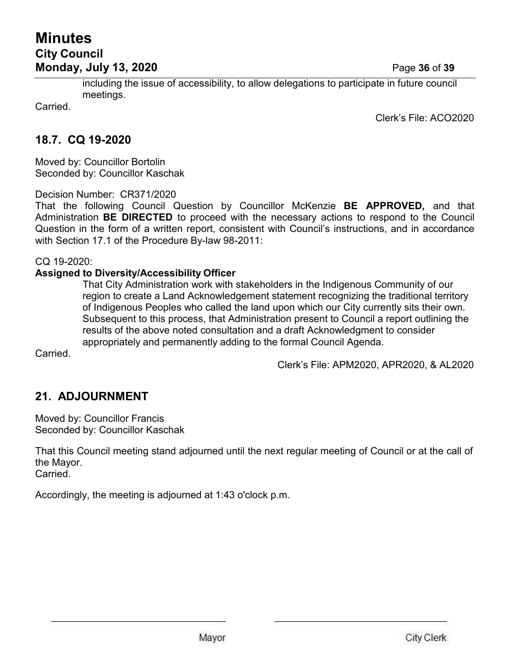## **Minutes City Council Monday, July 13, 2020** Page **36** of **39**

including the issue of accessibility, to allow delegations to participate in future council meetings.

Carried.

Clerk's File: ACO2020

### **18.7. CQ 19-2020**

Moved by: Councillor Bortolin Seconded by: Councillor Kaschak

Decision Number: CR371/2020

That the following Council Question by Councillor McKenzie **BE APPROVED,** and that Administration **BE DIRECTED** to proceed with the necessary actions to respond to the Council Question in the form of a written report, consistent with Council's instructions, and in accordance with Section 17.1 of the Procedure By-law 98-2011:

CQ 19-2020:

#### **Assigned to Diversity/Accessibility Officer**

That City Administration work with stakeholders in the Indigenous Community of our region to create a Land Acknowledgement statement recognizing the traditional territory of Indigenous Peoples who called the land upon which our City currently sits their own. Subsequent to this process, that Administration present to Council a report outlining the results of the above noted consultation and a draft Acknowledgment to consider appropriately and permanently adding to the formal Council Agenda.

Carried.

Clerk's File: APM2020, APR2020, & AL2020

## **21. ADJOURNMENT**

Moved by: Councillor Francis Seconded by: Councillor Kaschak

That this Council meeting stand adjourned until the next regular meeting of Council or at the call of the Mayor.

Carried.

Accordingly, the meeting is adjourned at 1:43 o'clock p.m.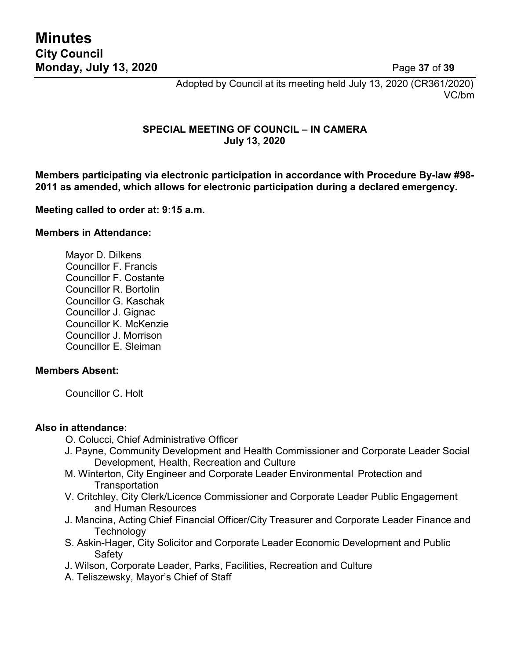Adopted by Council at its meeting held July 13, 2020 (CR361/2020) VC/bm

#### **SPECIAL MEETING OF COUNCIL – IN CAMERA July 13, 2020**

**Members participating via electronic participation in accordance with Procedure By-law #98- 2011 as amended, which allows for electronic participation during a declared emergency.**

#### **Meeting called to order at: 9:15 a.m.**

#### **Members in Attendance:**

Mayor D. Dilkens Councillor F. Francis Councillor F. Costante Councillor R. Bortolin Councillor G. Kaschak Councillor J. Gignac Councillor K. McKenzie Councillor J. Morrison Councillor E. Sleiman

#### **Members Absent:**

Councillor C. Holt

#### **Also in attendance:**

O. Colucci, Chief Administrative Officer

- J. Payne, Community Development and Health Commissioner and Corporate Leader Social Development, Health, Recreation and Culture
- M. Winterton, City Engineer and Corporate Leader Environmental Protection and **Transportation**
- V. Critchley, City Clerk/Licence Commissioner and Corporate Leader Public Engagement and Human Resources
- J. Mancina, Acting Chief Financial Officer/City Treasurer and Corporate Leader Finance and **Technology**
- S. Askin-Hager, City Solicitor and Corporate Leader Economic Development and Public Safety
- J. Wilson, Corporate Leader, Parks, Facilities, Recreation and Culture
- A. Teliszewsky, Mayor's Chief of Staff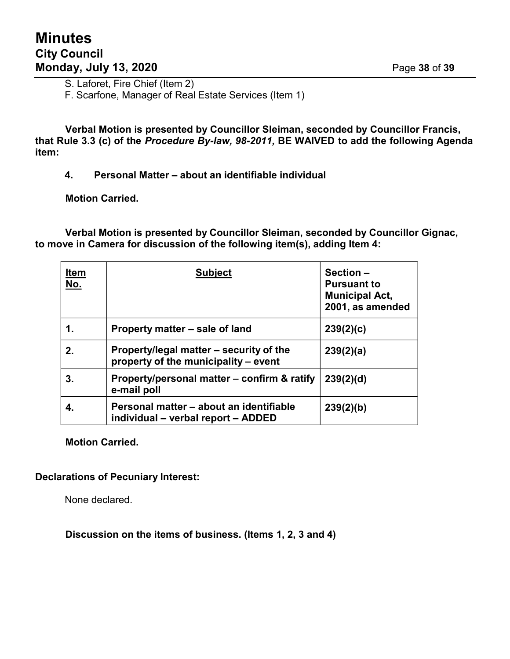S. Laforet, Fire Chief (Item 2)

F. Scarfone, Manager of Real Estate Services (Item 1)

**Verbal Motion is presented by Councillor Sleiman, seconded by Councillor Francis, that Rule 3.3 (c) of the** *Procedure By-law, 98-2011,* **BE WAIVED to add the following Agenda item:**

**4. Personal Matter – about an identifiable individual**

**Motion Carried.**

**Verbal Motion is presented by Councillor Sleiman, seconded by Councillor Gignac, to move in Camera for discussion of the following item(s), adding Item 4:**

| <u>Item</u><br>No. | <b>Subject</b>                                                                  | Section-<br><b>Pursuant to</b><br><b>Municipal Act,</b><br>2001, as amended |
|--------------------|---------------------------------------------------------------------------------|-----------------------------------------------------------------------------|
| 1.                 | Property matter – sale of land                                                  | 239(2)(c)                                                                   |
| 2.                 | Property/legal matter – security of the<br>property of the municipality – event | 239(2)(a)                                                                   |
| 3.                 | Property/personal matter – confirm & ratify<br>e-mail poll                      | 239(2)(d)                                                                   |
| 4.                 | Personal matter – about an identifiable<br>individual - verbal report - ADDED   | 239(2)(b)                                                                   |

**Motion Carried.**

#### **Declarations of Pecuniary Interest:**

None declared.

**Discussion on the items of business. (Items 1, 2, 3 and 4)**